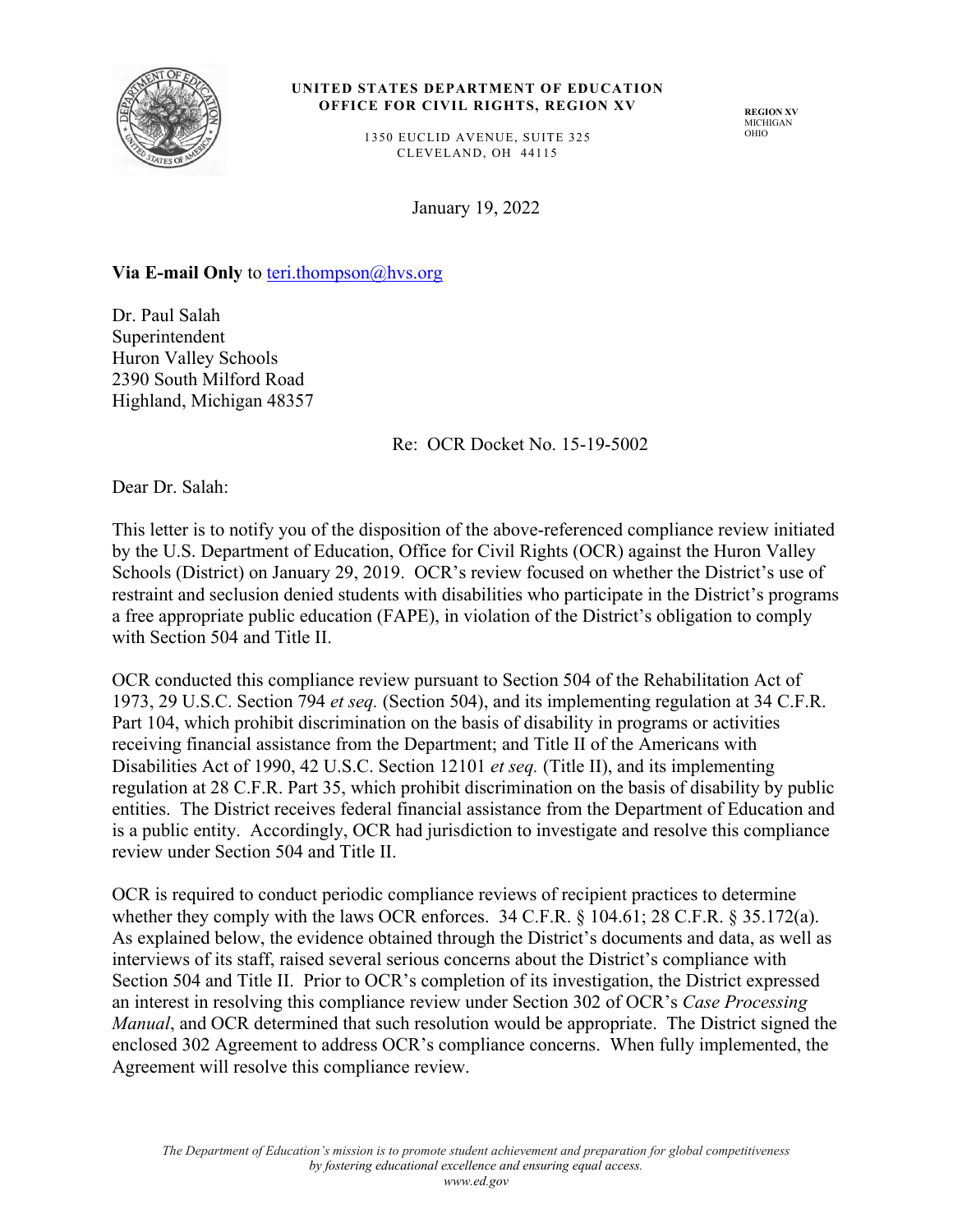

#### UNITED STATES DEPARTMENT OF EDUCATION **OFFICE FOR CIVIL RIGHTS, REGION XV**

1350 EUCLID AVENUE, SUITE 325 CLEVELAND, OH 44115

**REGION XV** MICHIGAN OHIO

January 19, 2022

#### **Via E-mail Only** to teri.thompson@hvs.org

Dr. Paul Salah Superintendent Huron Valley Schools 2390 South Milford Road Highland, Michigan 48357

Re: OCR Docket No. 15-19-5002

Dear Dr. Salah:

This letter is to notify you of the disposition of the above-referenced compliance review initiated by the U.S. Department of Education, Office for Civil Rights (OCR) against the Huron Valley Schools (District) on January 29, 2019. OCR's review focused on whether the District's use of restraint and seclusion denied students with disabilities who participate in the District's programs a free appropriate public education (FAPE), in violation of the District's obligation to comply with Section 504 and Title II.

OCR conducted this compliance review pursuant to Section 504 of the Rehabilitation Act of 1973, 29 U.S.C. Section 794 *et seq.* (Section 504), and its implementing regulation at 34 C.F.R. Part 104, which prohibit discrimination on the basis of disability in programs or activities receiving financial assistance from the Department; and Title II of the Americans with Disabilities Act of 1990, 42 U.S.C. Section 12101 *et seq.* (Title II), and its implementing regulation at 28 C.F.R. Part 35, which prohibit discrimination on the basis of disability by public entities. The District receives federal financial assistance from the Department of Education and is a public entity. Accordingly, OCR had jurisdiction to investigate and resolve this compliance review under Section 504 and Title II.

OCR is required to conduct periodic compliance reviews of recipient practices to determine whether they comply with the laws OCR enforces. 34 C.F.R. § 104.61; 28 C.F.R. § 35.172(a). As explained below, the evidence obtained through the District's documents and data, as well as interviews of its staff, raised several serious concerns about the District's compliance with Section 504 and Title II. Prior to OCR's completion of its investigation, the District expressed an interest in resolving this compliance review under Section 302 of OCR's *Case Processing Manual*, and OCR determined that such resolution would be appropriate. The District signed the enclosed 302 Agreement to address OCR's compliance concerns. When fully implemented, the Agreement will resolve this compliance review.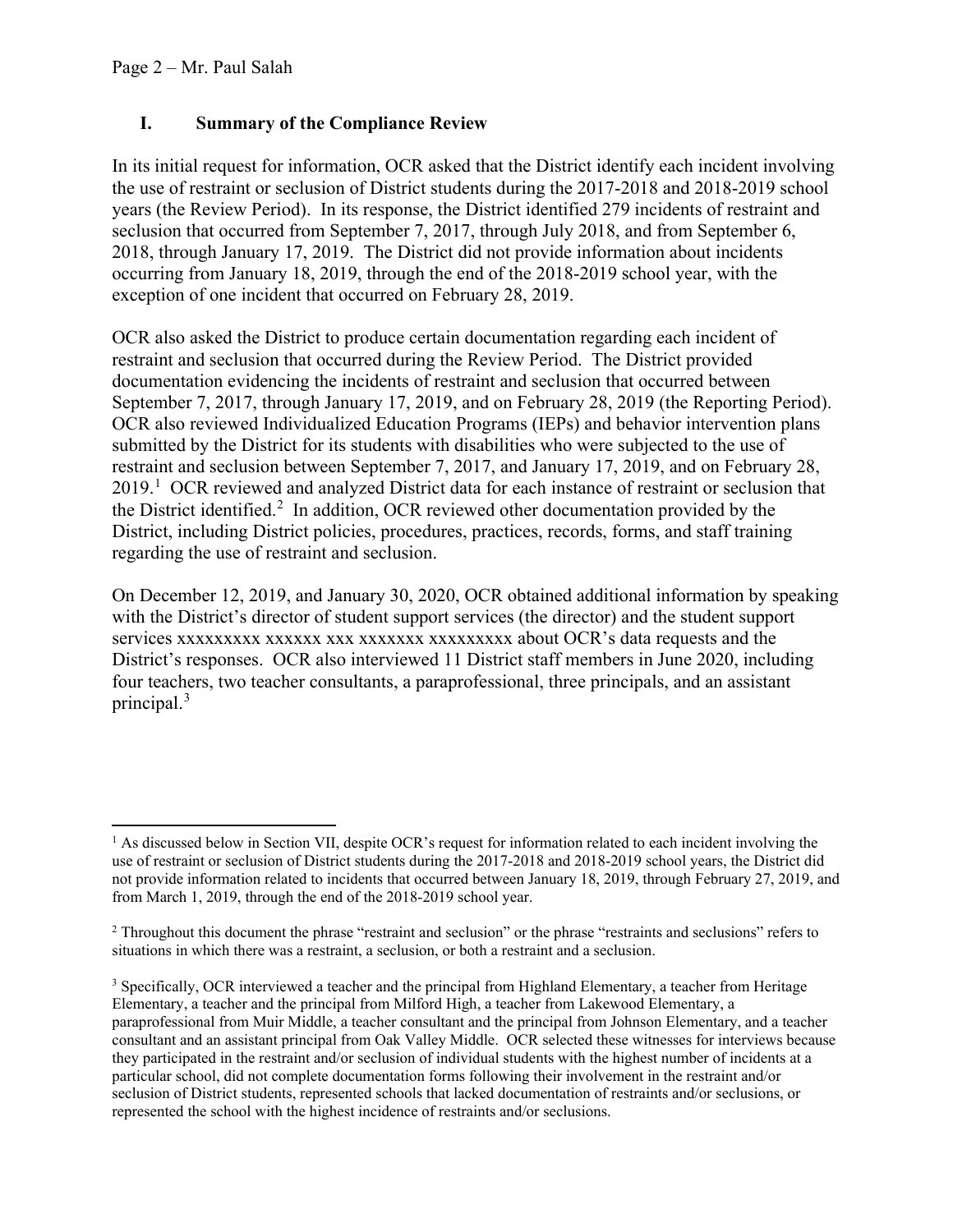### **I. Summary of the Compliance Review**

In its initial request for information, OCR asked that the District identify each incident involving the use of restraint or seclusion of District students during the 2017-2018 and 2018-2019 school years (the Review Period). In its response, the District identified 279 incidents of restraint and seclusion that occurred from September 7, 2017, through July 2018, and from September 6, 2018, through January 17, 2019. The District did not provide information about incidents occurring from January 18, 2019, through the end of the 2018-2019 school year, with the exception of one incident that occurred on February 28, 2019.

OCR also asked the District to produce certain documentation regarding each incident of restraint and seclusion that occurred during the Review Period. The District provided documentation evidencing the incidents of restraint and seclusion that occurred between September 7, 2017, through January 17, 2019, and on February 28, 2019 (the Reporting Period). OCR also reviewed Individualized Education Programs (IEPs) and behavior intervention plans submitted by the District for its students with disabilities who were subjected to the use of restraint and seclusion between September 7, 2017, and January 17, 2019, and on February 28, 20[1](#page-1-0)9.<sup>1</sup> OCR reviewed and analyzed District data for each instance of restraint or seclusion that the District identified.<sup>[2](#page-1-1)</sup> In addition, OCR reviewed other documentation provided by the District, including District policies, procedures, practices, records, forms, and staff training regarding the use of restraint and seclusion.

On December 12, 2019, and January 30, 2020, OCR obtained additional information by speaking with the District's director of student support services (the director) and the student support services xxxxxxxxx xxxxxx xxx xxxxxxx xxxxxxxxx about OCR's data requests and the District's responses. OCR also interviewed 11 District staff members in June 2020, including four teachers, two teacher consultants, a paraprofessional, three principals, and an assistant principal.<sup>[3](#page-1-2)</sup>

<span id="page-1-0"></span><sup>&</sup>lt;sup>1</sup> As discussed below in Section VII, despite OCR's request for information related to each incident involving the use of restraint or seclusion of District students during the 2017-2018 and 2018-2019 school years, the District did not provide information related to incidents that occurred between January 18, 2019, through February 27, 2019, and from March 1, 2019, through the end of the 2018-2019 school year.

<span id="page-1-1"></span> $2$  Throughout this document the phrase "restraint and seclusion" or the phrase "restraints and seclusions" refers to situations in which there was a restraint, a seclusion, or both a restraint and a seclusion.

<span id="page-1-2"></span><sup>&</sup>lt;sup>3</sup> Specifically, OCR interviewed a teacher and the principal from Highland Elementary, a teacher from Heritage Elementary, a teacher and the principal from Milford High, a teacher from Lakewood Elementary, a paraprofessional from Muir Middle, a teacher consultant and the principal from Johnson Elementary, and a teacher consultant and an assistant principal from Oak Valley Middle. OCR selected these witnesses for interviews because they participated in the restraint and/or seclusion of individual students with the highest number of incidents at a particular school, did not complete documentation forms following their involvement in the restraint and/or seclusion of District students, represented schools that lacked documentation of restraints and/or seclusions, or represented the school with the highest incidence of restraints and/or seclusions.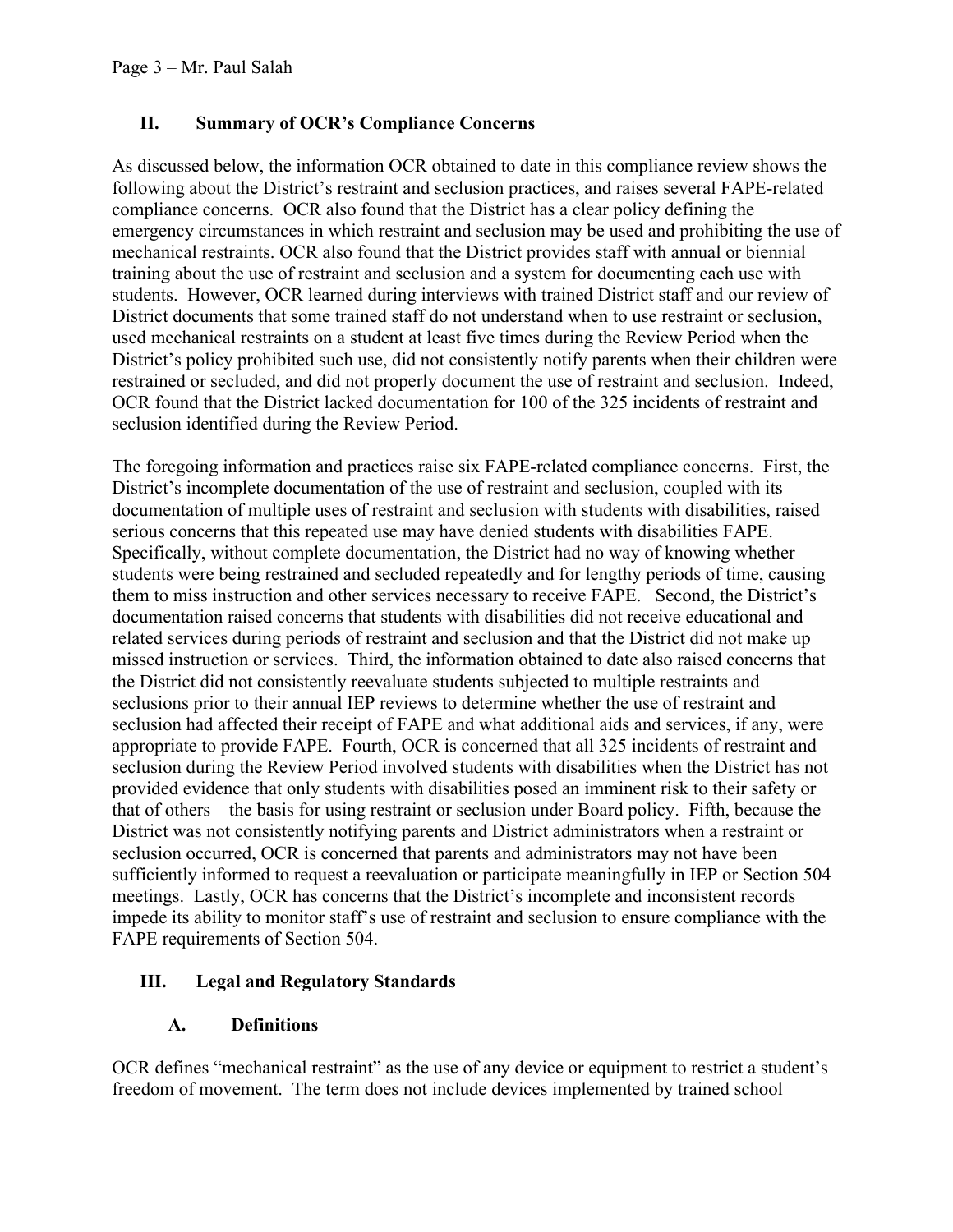## **II. Summary of OCR's Compliance Concerns**

As discussed below, the information OCR obtained to date in this compliance review shows the following about the District's restraint and seclusion practices, and raises several FAPE-related compliance concerns. OCR also found that the District has a clear policy defining the emergency circumstances in which restraint and seclusion may be used and prohibiting the use of mechanical restraints. OCR also found that the District provides staff with annual or biennial training about the use of restraint and seclusion and a system for documenting each use with students. However, OCR learned during interviews with trained District staff and our review of District documents that some trained staff do not understand when to use restraint or seclusion, used mechanical restraints on a student at least five times during the Review Period when the District's policy prohibited such use, did not consistently notify parents when their children were restrained or secluded, and did not properly document the use of restraint and seclusion. Indeed, OCR found that the District lacked documentation for 100 of the 325 incidents of restraint and seclusion identified during the Review Period.

The foregoing information and practices raise six FAPE-related compliance concerns. First, the District's incomplete documentation of the use of restraint and seclusion, coupled with its documentation of multiple uses of restraint and seclusion with students with disabilities, raised serious concerns that this repeated use may have denied students with disabilities FAPE. Specifically, without complete documentation, the District had no way of knowing whether students were being restrained and secluded repeatedly and for lengthy periods of time, causing them to miss instruction and other services necessary to receive FAPE. Second, the District's documentation raised concerns that students with disabilities did not receive educational and related services during periods of restraint and seclusion and that the District did not make up missed instruction or services. Third, the information obtained to date also raised concerns that the District did not consistently reevaluate students subjected to multiple restraints and seclusions prior to their annual IEP reviews to determine whether the use of restraint and seclusion had affected their receipt of FAPE and what additional aids and services, if any, were appropriate to provide FAPE. Fourth, OCR is concerned that all 325 incidents of restraint and seclusion during the Review Period involved students with disabilities when the District has not provided evidence that only students with disabilities posed an imminent risk to their safety or that of others – the basis for using restraint or seclusion under Board policy. Fifth, because the District was not consistently notifying parents and District administrators when a restraint or seclusion occurred, OCR is concerned that parents and administrators may not have been sufficiently informed to request a reevaluation or participate meaningfully in IEP or Section 504 meetings. Lastly, OCR has concerns that the District's incomplete and inconsistent records impede its ability to monitor staff's use of restraint and seclusion to ensure compliance with the FAPE requirements of Section 504.

# **III. Legal and Regulatory Standards**

### **A. Definitions**

OCR defines "mechanical restraint" as the use of any device or equipment to restrict a student's freedom of movement. The term does not include devices implemented by trained school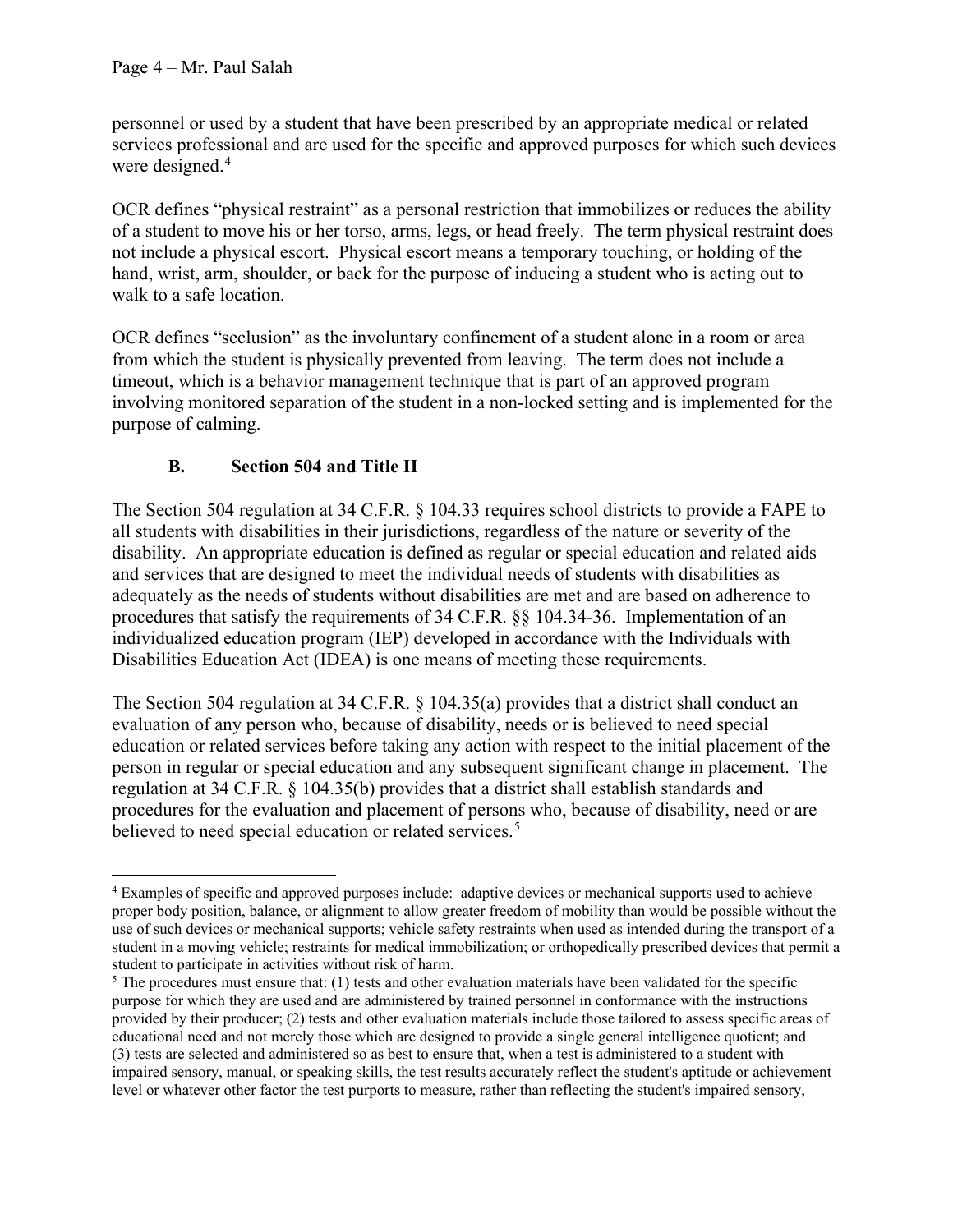personnel or used by a student that have been prescribed by an appropriate medical or related services professional and are used for the specific and approved purposes for which such devices were designed.<sup>[4](#page-3-0)</sup>

OCR defines "physical restraint" as a personal restriction that immobilizes or reduces the ability of a student to move his or her torso, arms, legs, or head freely. The term physical restraint does not include a physical escort. Physical escort means a temporary touching, or holding of the hand, wrist, arm, shoulder, or back for the purpose of inducing a student who is acting out to walk to a safe location.

OCR defines "seclusion" as the involuntary confinement of a student alone in a room or area from which the student is physically prevented from leaving. The term does not include a timeout, which is a behavior management technique that is part of an approved program involving monitored separation of the student in a non-locked setting and is implemented for the purpose of calming.

# **B. Section 504 and Title II**

The Section 504 regulation at 34 C.F.R. § 104.33 requires school districts to provide a FAPE to all students with disabilities in their jurisdictions, regardless of the nature or severity of the disability. An appropriate education is defined as regular or special education and related aids and services that are designed to meet the individual needs of students with disabilities as adequately as the needs of students without disabilities are met and are based on adherence to procedures that satisfy the requirements of 34 C.F.R. §§ 104.34-36. Implementation of an individualized education program (IEP) developed in accordance with the Individuals with Disabilities Education Act (IDEA) is one means of meeting these requirements.

The Section 504 regulation at 34 C.F.R. § 104.35(a) provides that a district shall conduct an evaluation of any person who, because of disability, needs or is believed to need special education or related services before taking any action with respect to the initial placement of the person in regular or special education and any subsequent significant change in placement. The regulation at 34 C.F.R. § 104.35(b) provides that a district shall establish standards and procedures for the evaluation and placement of persons who, because of disability, need or are believed to need special education or related services.<sup>[5](#page-3-1)</sup>

<span id="page-3-0"></span><sup>4</sup> Examples of specific and approved purposes include: adaptive devices or mechanical supports used to achieve proper body position, balance, or alignment to allow greater freedom of mobility than would be possible without the use of such devices or mechanical supports; vehicle safety restraints when used as intended during the transport of a student in a moving vehicle; restraints for medical immobilization; or orthopedically prescribed devices that permit a student to participate in activities without risk of harm.

<span id="page-3-1"></span> $5$  The procedures must ensure that: (1) tests and other evaluation materials have been validated for the specific purpose for which they are used and are administered by trained personnel in conformance with the instructions provided by their producer; (2) tests and other evaluation materials include those tailored to assess specific areas of educational need and not merely those which are designed to provide a single general intelligence quotient; and (3) tests are selected and administered so as best to ensure that, when a test is administered to a student with impaired sensory, manual, or speaking skills, the test results accurately reflect the student's aptitude or achievement level or whatever other factor the test purports to measure, rather than reflecting the student's impaired sensory,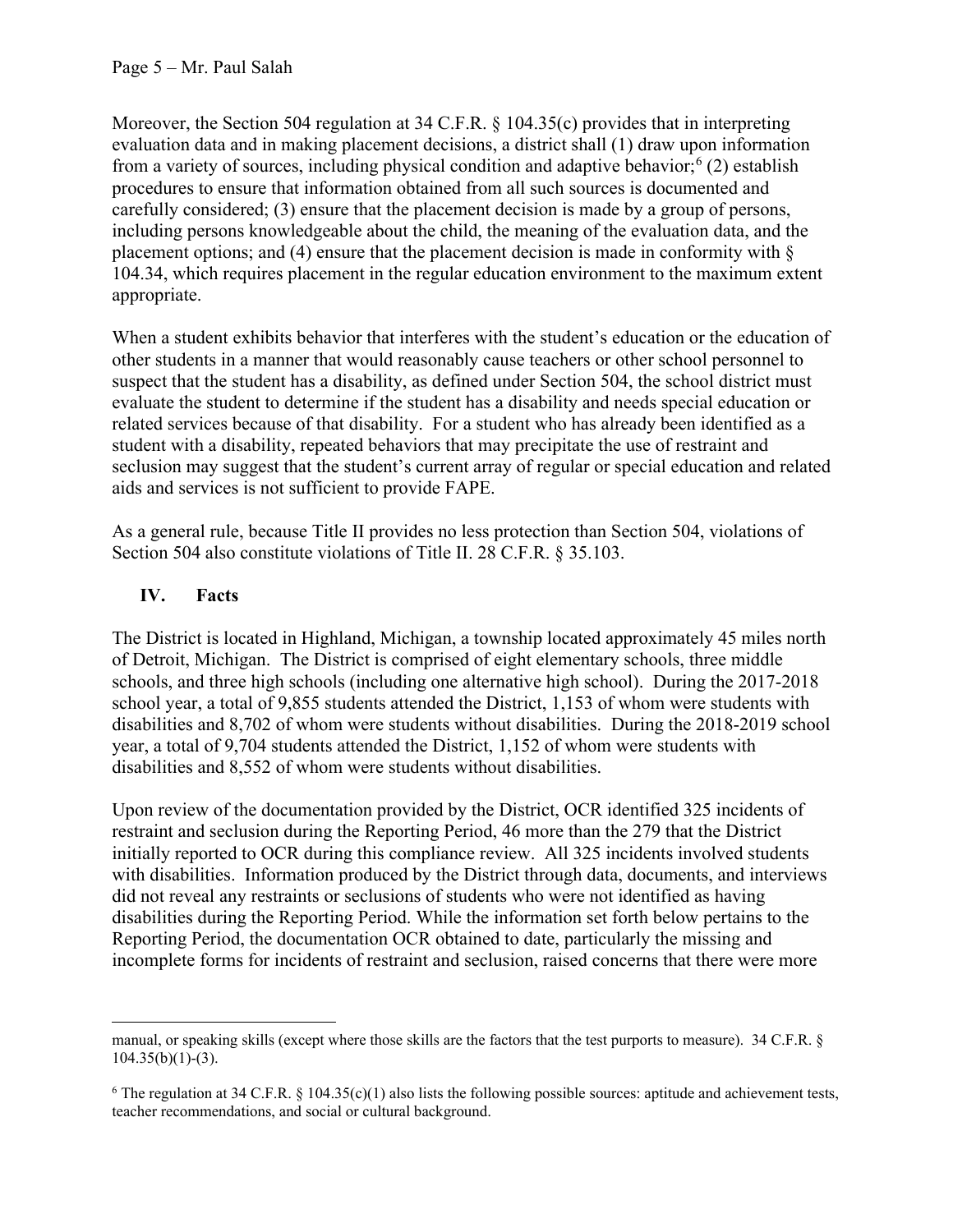Moreover, the Section 504 regulation at 34 C.F.R. § 104.35(c) provides that in interpreting evaluation data and in making placement decisions, a district shall (1) draw upon information from a variety of sources, including physical condition and adaptive behavior;  $(2)$  establish procedures to ensure that information obtained from all such sources is documented and carefully considered; (3) ensure that the placement decision is made by a group of persons, including persons knowledgeable about the child, the meaning of the evaluation data, and the placement options; and (4) ensure that the placement decision is made in conformity with § 104.34, which requires placement in the regular education environment to the maximum extent appropriate.

When a student exhibits behavior that interferes with the student's education or the education of other students in a manner that would reasonably cause teachers or other school personnel to suspect that the student has a disability, as defined under Section 504, the school district must evaluate the student to determine if the student has a disability and needs special education or related services because of that disability. For a student who has already been identified as a student with a disability, repeated behaviors that may precipitate the use of restraint and seclusion may suggest that the student's current array of regular or special education and related aids and services is not sufficient to provide FAPE.

As a general rule, because Title II provides no less protection than Section 504, violations of Section 504 also constitute violations of Title II. 28 C.F.R. § 35.103.

# **IV. Facts**

The District is located in Highland, Michigan, a township located approximately 45 miles north of Detroit, Michigan. The District is comprised of eight elementary schools, three middle schools, and three high schools (including one alternative high school). During the 2017-2018 school year, a total of 9,855 students attended the District, 1,153 of whom were students with disabilities and 8,702 of whom were students without disabilities. During the 2018-2019 school year, a total of 9,704 students attended the District, 1,152 of whom were students with disabilities and 8,552 of whom were students without disabilities.

Upon review of the documentation provided by the District, OCR identified 325 incidents of restraint and seclusion during the Reporting Period, 46 more than the 279 that the District initially reported to OCR during this compliance review. All 325 incidents involved students with disabilities. Information produced by the District through data, documents, and interviews did not reveal any restraints or seclusions of students who were not identified as having disabilities during the Reporting Period. While the information set forth below pertains to the Reporting Period, the documentation OCR obtained to date, particularly the missing and incomplete forms for incidents of restraint and seclusion, raised concerns that there were more

manual, or speaking skills (except where those skills are the factors that the test purports to measure). 34 C.F.R. §  $104.35(b)(1)-(3)$ .

<span id="page-4-0"></span><sup>&</sup>lt;sup>6</sup> The regulation at 34 C.F.R. § 104.35(c)(1) also lists the following possible sources: aptitude and achievement tests, teacher recommendations, and social or cultural background.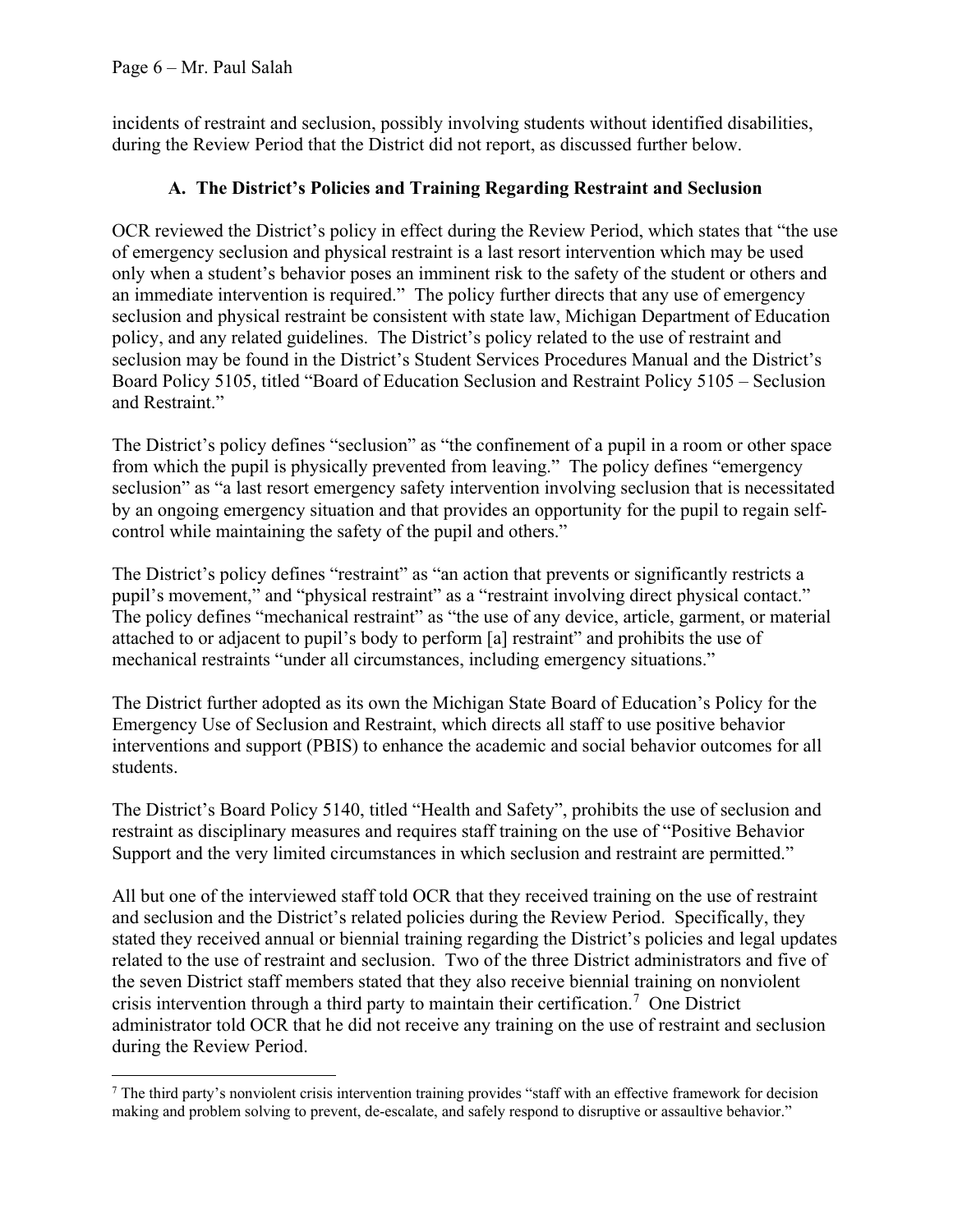incidents of restraint and seclusion, possibly involving students without identified disabilities, during the Review Period that the District did not report, as discussed further below.

## **A. The District's Policies and Training Regarding Restraint and Seclusion**

OCR reviewed the District's policy in effect during the Review Period, which states that "the use of emergency seclusion and physical restraint is a last resort intervention which may be used only when a student's behavior poses an imminent risk to the safety of the student or others and an immediate intervention is required." The policy further directs that any use of emergency seclusion and physical restraint be consistent with state law, Michigan Department of Education policy, and any related guidelines. The District's policy related to the use of restraint and seclusion may be found in the District's Student Services Procedures Manual and the District's Board Policy 5105, titled "Board of Education Seclusion and Restraint Policy 5105 – Seclusion and Restraint."

The District's policy defines "seclusion" as "the confinement of a pupil in a room or other space from which the pupil is physically prevented from leaving." The policy defines "emergency seclusion" as "a last resort emergency safety intervention involving seclusion that is necessitated by an ongoing emergency situation and that provides an opportunity for the pupil to regain selfcontrol while maintaining the safety of the pupil and others."

The District's policy defines "restraint" as "an action that prevents or significantly restricts a pupil's movement," and "physical restraint" as a "restraint involving direct physical contact." The policy defines "mechanical restraint" as "the use of any device, article, garment, or material attached to or adjacent to pupil's body to perform [a] restraint" and prohibits the use of mechanical restraints "under all circumstances, including emergency situations."

The District further adopted as its own the Michigan State Board of Education's Policy for the Emergency Use of Seclusion and Restraint, which directs all staff to use positive behavior interventions and support (PBIS) to enhance the academic and social behavior outcomes for all students.

The District's Board Policy 5140, titled "Health and Safety", prohibits the use of seclusion and restraint as disciplinary measures and requires staff training on the use of "Positive Behavior Support and the very limited circumstances in which seclusion and restraint are permitted."

All but one of the interviewed staff told OCR that they received training on the use of restraint and seclusion and the District's related policies during the Review Period. Specifically, they stated they received annual or biennial training regarding the District's policies and legal updates related to the use of restraint and seclusion. Two of the three District administrators and five of the seven District staff members stated that they also receive biennial training on nonviolent crisis intervention through a third party to maintain their certification.<sup>[7](#page-5-0)</sup> One District administrator told OCR that he did not receive any training on the use of restraint and seclusion during the Review Period.

<span id="page-5-0"></span><sup>&</sup>lt;sup>7</sup> The third party's nonviolent crisis intervention training provides "staff with an effective framework for decision making and problem solving to prevent, de-escalate, and safely respond to disruptive or assaultive behavior."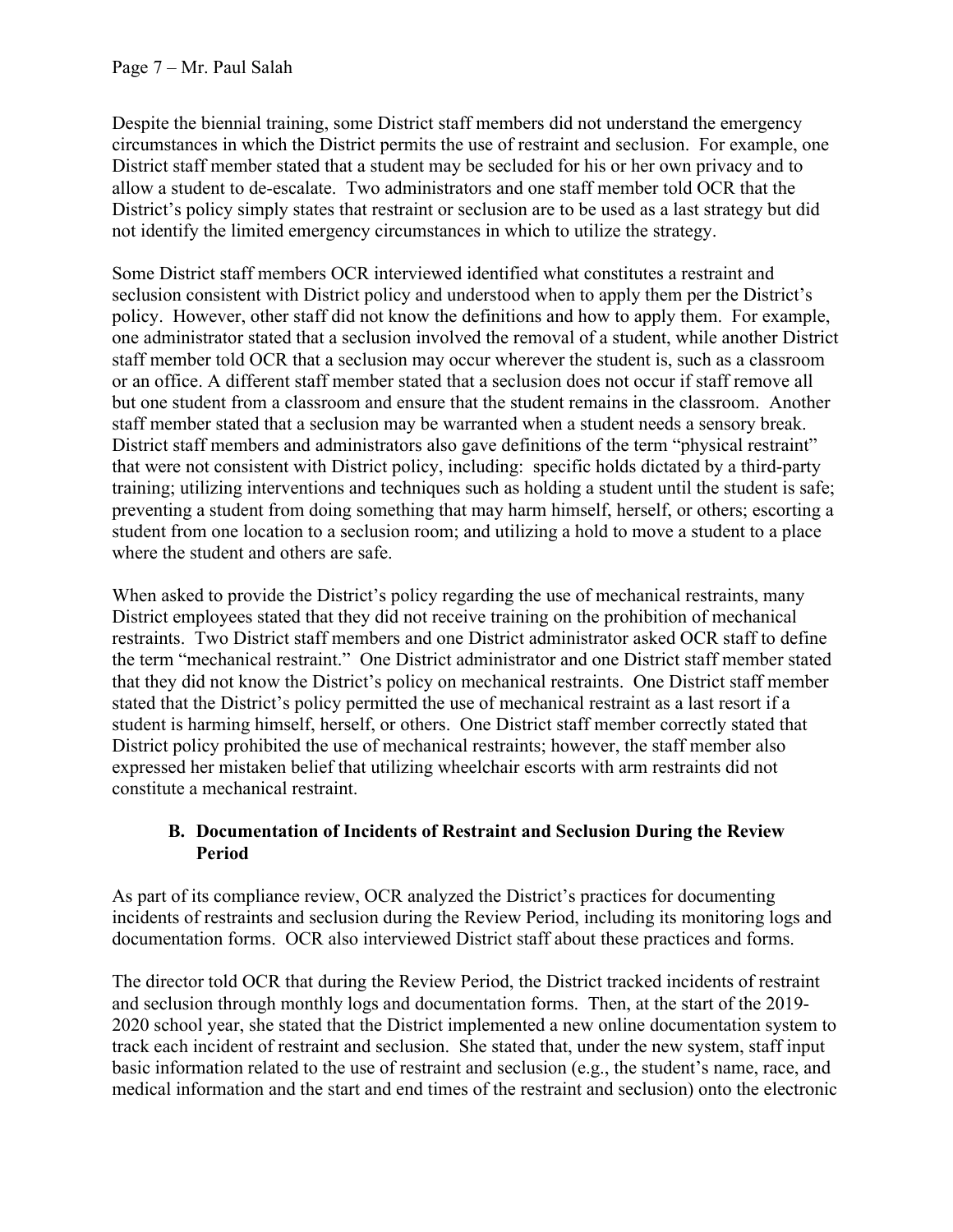Despite the biennial training, some District staff members did not understand the emergency circumstances in which the District permits the use of restraint and seclusion. For example, one District staff member stated that a student may be secluded for his or her own privacy and to allow a student to de-escalate. Two administrators and one staff member told OCR that the District's policy simply states that restraint or seclusion are to be used as a last strategy but did not identify the limited emergency circumstances in which to utilize the strategy.

Some District staff members OCR interviewed identified what constitutes a restraint and seclusion consistent with District policy and understood when to apply them per the District's policy. However, other staff did not know the definitions and how to apply them. For example, one administrator stated that a seclusion involved the removal of a student, while another District staff member told OCR that a seclusion may occur wherever the student is, such as a classroom or an office. A different staff member stated that a seclusion does not occur if staff remove all but one student from a classroom and ensure that the student remains in the classroom. Another staff member stated that a seclusion may be warranted when a student needs a sensory break. District staff members and administrators also gave definitions of the term "physical restraint" that were not consistent with District policy, including: specific holds dictated by a third-party training; utilizing interventions and techniques such as holding a student until the student is safe; preventing a student from doing something that may harm himself, herself, or others; escorting a student from one location to a seclusion room; and utilizing a hold to move a student to a place where the student and others are safe.

When asked to provide the District's policy regarding the use of mechanical restraints, many District employees stated that they did not receive training on the prohibition of mechanical restraints. Two District staff members and one District administrator asked OCR staff to define the term "mechanical restraint." One District administrator and one District staff member stated that they did not know the District's policy on mechanical restraints. One District staff member stated that the District's policy permitted the use of mechanical restraint as a last resort if a student is harming himself, herself, or others. One District staff member correctly stated that District policy prohibited the use of mechanical restraints; however, the staff member also expressed her mistaken belief that utilizing wheelchair escorts with arm restraints did not constitute a mechanical restraint.

#### **B. Documentation of Incidents of Restraint and Seclusion During the Review Period**

As part of its compliance review, OCR analyzed the District's practices for documenting incidents of restraints and seclusion during the Review Period, including its monitoring logs and documentation forms. OCR also interviewed District staff about these practices and forms.

The director told OCR that during the Review Period, the District tracked incidents of restraint and seclusion through monthly logs and documentation forms. Then, at the start of the 2019- 2020 school year, she stated that the District implemented a new online documentation system to track each incident of restraint and seclusion. She stated that, under the new system, staff input basic information related to the use of restraint and seclusion (e.g., the student's name, race, and medical information and the start and end times of the restraint and seclusion) onto the electronic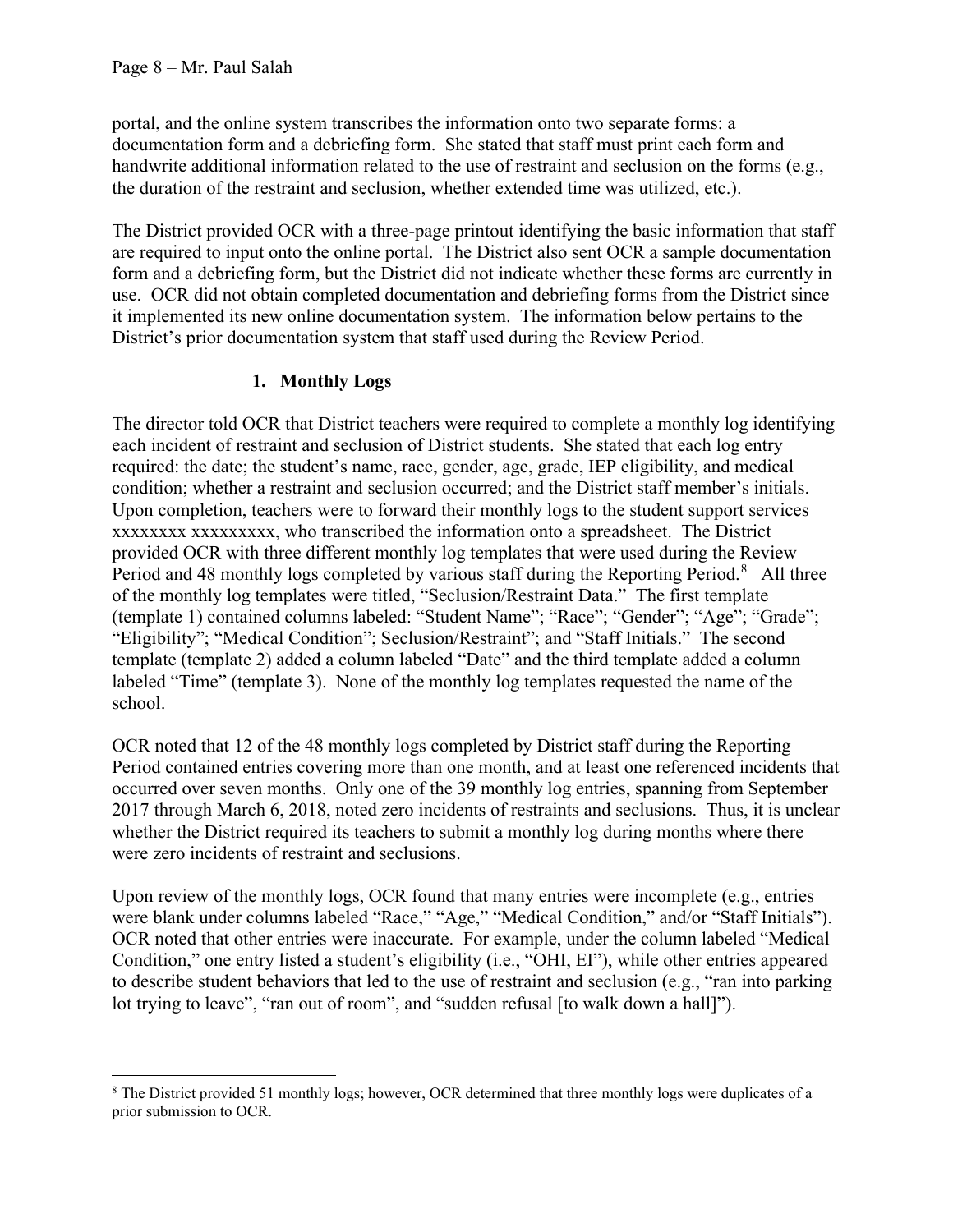portal, and the online system transcribes the information onto two separate forms: a documentation form and a debriefing form. She stated that staff must print each form and handwrite additional information related to the use of restraint and seclusion on the forms (e.g., the duration of the restraint and seclusion, whether extended time was utilized, etc.).

The District provided OCR with a three-page printout identifying the basic information that staff are required to input onto the online portal. The District also sent OCR a sample documentation form and a debriefing form, but the District did not indicate whether these forms are currently in use. OCR did not obtain completed documentation and debriefing forms from the District since it implemented its new online documentation system. The information below pertains to the District's prior documentation system that staff used during the Review Period.

## **1. Monthly Logs**

The director told OCR that District teachers were required to complete a monthly log identifying each incident of restraint and seclusion of District students. She stated that each log entry required: the date; the student's name, race, gender, age, grade, IEP eligibility, and medical condition; whether a restraint and seclusion occurred; and the District staff member's initials. Upon completion, teachers were to forward their monthly logs to the student support services xxxxxxxx xxxxxxxxx, who transcribed the information onto a spreadsheet. The District provided OCR with three different monthly log templates that were used during the Review Period and 4[8](#page-7-0) monthly logs completed by various staff during the Reporting Period.<sup>8</sup> All three of the monthly log templates were titled, "Seclusion/Restraint Data." The first template (template 1) contained columns labeled: "Student Name"; "Race"; "Gender"; "Age"; "Grade"; "Eligibility"; "Medical Condition"; Seclusion/Restraint"; and "Staff Initials." The second template (template 2) added a column labeled "Date" and the third template added a column labeled "Time" (template 3). None of the monthly log templates requested the name of the school.

OCR noted that 12 of the 48 monthly logs completed by District staff during the Reporting Period contained entries covering more than one month, and at least one referenced incidents that occurred over seven months. Only one of the 39 monthly log entries, spanning from September 2017 through March 6, 2018, noted zero incidents of restraints and seclusions. Thus, it is unclear whether the District required its teachers to submit a monthly log during months where there were zero incidents of restraint and seclusions.

Upon review of the monthly logs, OCR found that many entries were incomplete (e.g., entries were blank under columns labeled "Race," "Age," "Medical Condition," and/or "Staff Initials"). OCR noted that other entries were inaccurate. For example, under the column labeled "Medical Condition," one entry listed a student's eligibility (i.e., "OHI, EI"), while other entries appeared to describe student behaviors that led to the use of restraint and seclusion (e.g., "ran into parking lot trying to leave", "ran out of room", and "sudden refusal [to walk down a hall]").

<span id="page-7-0"></span><sup>&</sup>lt;sup>8</sup> The District provided 51 monthly logs; however, OCR determined that three monthly logs were duplicates of a prior submission to OCR.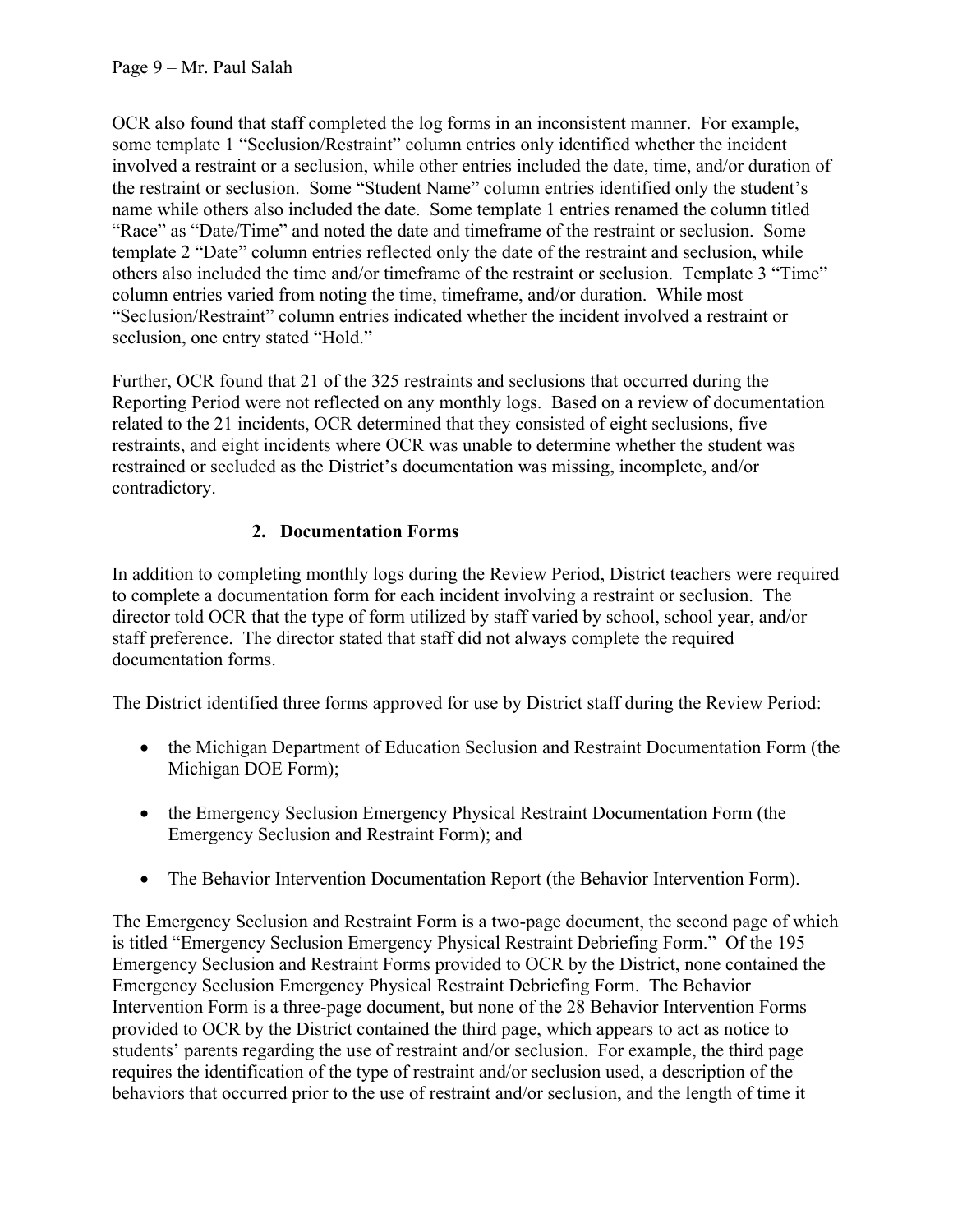OCR also found that staff completed the log forms in an inconsistent manner. For example, some template 1 "Seclusion/Restraint" column entries only identified whether the incident involved a restraint or a seclusion, while other entries included the date, time, and/or duration of the restraint or seclusion. Some "Student Name" column entries identified only the student's name while others also included the date. Some template 1 entries renamed the column titled "Race" as "Date/Time" and noted the date and timeframe of the restraint or seclusion. Some template 2 "Date" column entries reflected only the date of the restraint and seclusion, while others also included the time and/or timeframe of the restraint or seclusion. Template 3 "Time" column entries varied from noting the time, timeframe, and/or duration. While most "Seclusion/Restraint" column entries indicated whether the incident involved a restraint or seclusion, one entry stated "Hold."

Further, OCR found that 21 of the 325 restraints and seclusions that occurred during the Reporting Period were not reflected on any monthly logs. Based on a review of documentation related to the 21 incidents, OCR determined that they consisted of eight seclusions, five restraints, and eight incidents where OCR was unable to determine whether the student was restrained or secluded as the District's documentation was missing, incomplete, and/or contradictory.

# **2. Documentation Forms**

In addition to completing monthly logs during the Review Period, District teachers were required to complete a documentation form for each incident involving a restraint or seclusion. The director told OCR that the type of form utilized by staff varied by school, school year, and/or staff preference. The director stated that staff did not always complete the required documentation forms.

The District identified three forms approved for use by District staff during the Review Period:

- the Michigan Department of Education Seclusion and Restraint Documentation Form (the Michigan DOE Form);
- the Emergency Seclusion Emergency Physical Restraint Documentation Form (the Emergency Seclusion and Restraint Form); and
- The Behavior Intervention Documentation Report (the Behavior Intervention Form).

The Emergency Seclusion and Restraint Form is a two-page document, the second page of which is titled "Emergency Seclusion Emergency Physical Restraint Debriefing Form." Of the 195 Emergency Seclusion and Restraint Forms provided to OCR by the District, none contained the Emergency Seclusion Emergency Physical Restraint Debriefing Form. The Behavior Intervention Form is a three-page document, but none of the 28 Behavior Intervention Forms provided to OCR by the District contained the third page, which appears to act as notice to students' parents regarding the use of restraint and/or seclusion. For example, the third page requires the identification of the type of restraint and/or seclusion used, a description of the behaviors that occurred prior to the use of restraint and/or seclusion, and the length of time it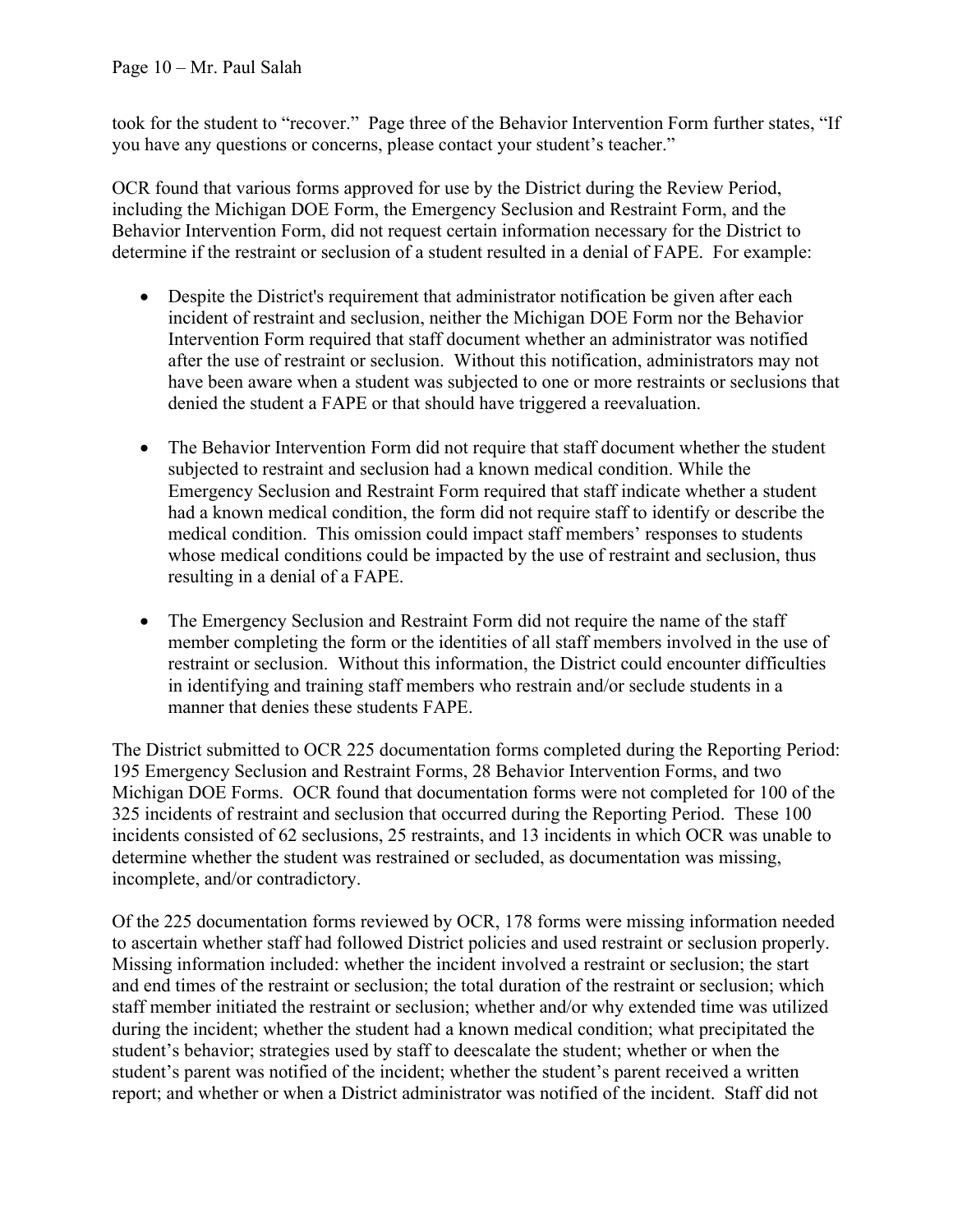took for the student to "recover." Page three of the Behavior Intervention Form further states, "If you have any questions or concerns, please contact your student's teacher."

OCR found that various forms approved for use by the District during the Review Period, including the Michigan DOE Form, the Emergency Seclusion and Restraint Form, and the Behavior Intervention Form, did not request certain information necessary for the District to determine if the restraint or seclusion of a student resulted in a denial of FAPE. For example:

- Despite the District's requirement that administrator notification be given after each incident of restraint and seclusion, neither the Michigan DOE Form nor the Behavior Intervention Form required that staff document whether an administrator was notified after the use of restraint or seclusion. Without this notification, administrators may not have been aware when a student was subjected to one or more restraints or seclusions that denied the student a FAPE or that should have triggered a reevaluation.
- The Behavior Intervention Form did not require that staff document whether the student subjected to restraint and seclusion had a known medical condition. While the Emergency Seclusion and Restraint Form required that staff indicate whether a student had a known medical condition, the form did not require staff to identify or describe the medical condition. This omission could impact staff members' responses to students whose medical conditions could be impacted by the use of restraint and seclusion, thus resulting in a denial of a FAPE.
- The Emergency Seclusion and Restraint Form did not require the name of the staff member completing the form or the identities of all staff members involved in the use of restraint or seclusion. Without this information, the District could encounter difficulties in identifying and training staff members who restrain and/or seclude students in a manner that denies these students FAPE.

The District submitted to OCR 225 documentation forms completed during the Reporting Period: 195 Emergency Seclusion and Restraint Forms, 28 Behavior Intervention Forms, and two Michigan DOE Forms. OCR found that documentation forms were not completed for 100 of the 325 incidents of restraint and seclusion that occurred during the Reporting Period. These 100 incidents consisted of 62 seclusions, 25 restraints, and 13 incidents in which OCR was unable to determine whether the student was restrained or secluded, as documentation was missing, incomplete, and/or contradictory.

Of the 225 documentation forms reviewed by OCR, 178 forms were missing information needed to ascertain whether staff had followed District policies and used restraint or seclusion properly. Missing information included: whether the incident involved a restraint or seclusion; the start and end times of the restraint or seclusion; the total duration of the restraint or seclusion; which staff member initiated the restraint or seclusion; whether and/or why extended time was utilized during the incident; whether the student had a known medical condition; what precipitated the student's behavior; strategies used by staff to deescalate the student; whether or when the student's parent was notified of the incident; whether the student's parent received a written report; and whether or when a District administrator was notified of the incident. Staff did not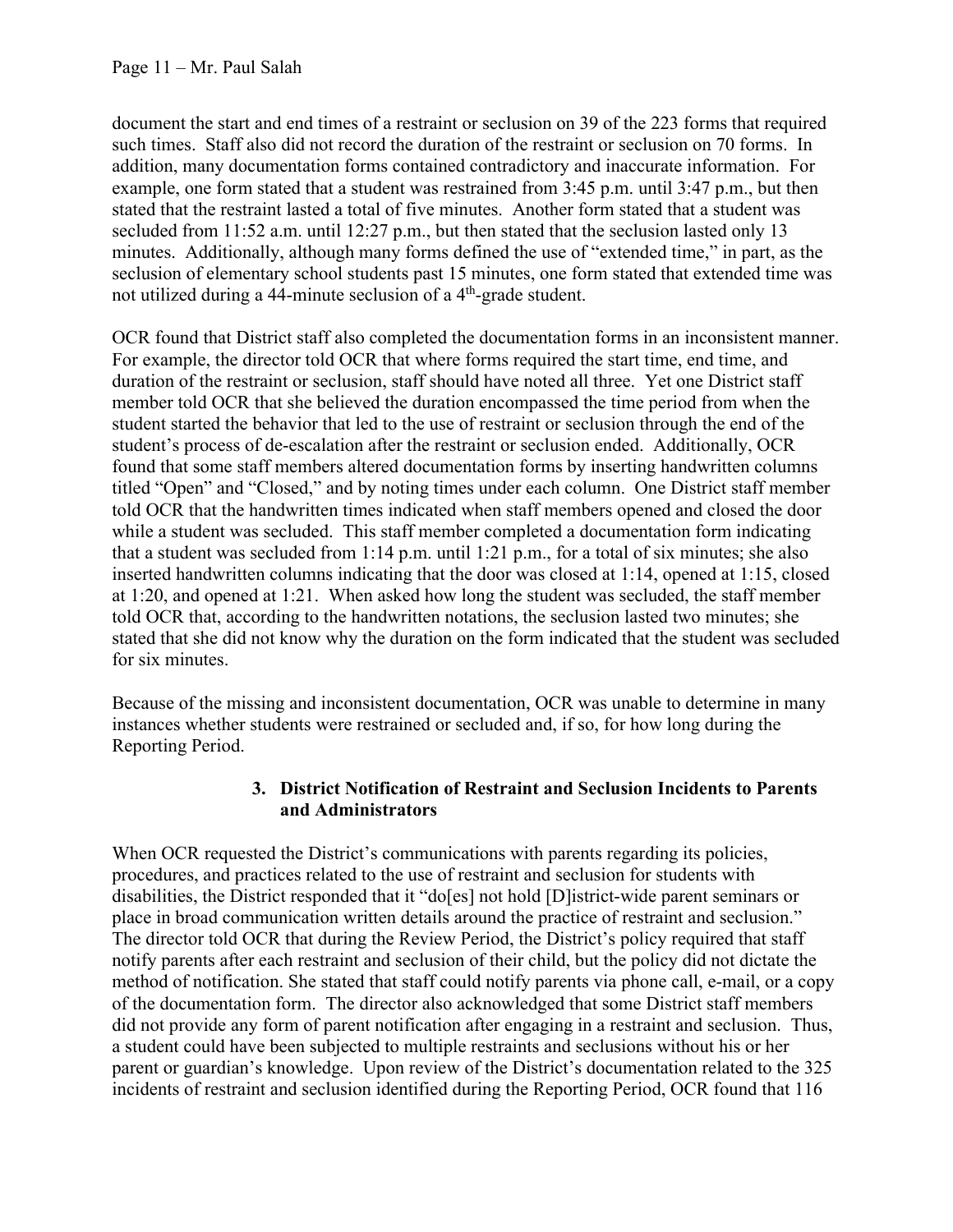document the start and end times of a restraint or seclusion on 39 of the 223 forms that required such times. Staff also did not record the duration of the restraint or seclusion on 70 forms. In addition, many documentation forms contained contradictory and inaccurate information. For example, one form stated that a student was restrained from 3:45 p.m. until 3:47 p.m., but then stated that the restraint lasted a total of five minutes. Another form stated that a student was secluded from 11:52 a.m. until 12:27 p.m., but then stated that the seclusion lasted only 13 minutes. Additionally, although many forms defined the use of "extended time," in part, as the seclusion of elementary school students past 15 minutes, one form stated that extended time was not utilized during a 44-minute seclusion of a 4<sup>th</sup>-grade student.

OCR found that District staff also completed the documentation forms in an inconsistent manner. For example, the director told OCR that where forms required the start time, end time, and duration of the restraint or seclusion, staff should have noted all three. Yet one District staff member told OCR that she believed the duration encompassed the time period from when the student started the behavior that led to the use of restraint or seclusion through the end of the student's process of de-escalation after the restraint or seclusion ended. Additionally, OCR found that some staff members altered documentation forms by inserting handwritten columns titled "Open" and "Closed," and by noting times under each column. One District staff member told OCR that the handwritten times indicated when staff members opened and closed the door while a student was secluded. This staff member completed a documentation form indicating that a student was secluded from  $1:14$  p.m. until  $1:21$  p.m., for a total of six minutes; she also inserted handwritten columns indicating that the door was closed at 1:14, opened at 1:15, closed at 1:20, and opened at 1:21. When asked how long the student was secluded, the staff member told OCR that, according to the handwritten notations, the seclusion lasted two minutes; she stated that she did not know why the duration on the form indicated that the student was secluded for six minutes.

Because of the missing and inconsistent documentation, OCR was unable to determine in many instances whether students were restrained or secluded and, if so, for how long during the Reporting Period.

#### **3. District Notification of Restraint and Seclusion Incidents to Parents and Administrators**

When OCR requested the District's communications with parents regarding its policies, procedures, and practices related to the use of restraint and seclusion for students with disabilities, the District responded that it "do[es] not hold [D]istrict-wide parent seminars or place in broad communication written details around the practice of restraint and seclusion." The director told OCR that during the Review Period, the District's policy required that staff notify parents after each restraint and seclusion of their child, but the policy did not dictate the method of notification. She stated that staff could notify parents via phone call, e-mail, or a copy of the documentation form. The director also acknowledged that some District staff members did not provide any form of parent notification after engaging in a restraint and seclusion. Thus, a student could have been subjected to multiple restraints and seclusions without his or her parent or guardian's knowledge. Upon review of the District's documentation related to the 325 incidents of restraint and seclusion identified during the Reporting Period, OCR found that 116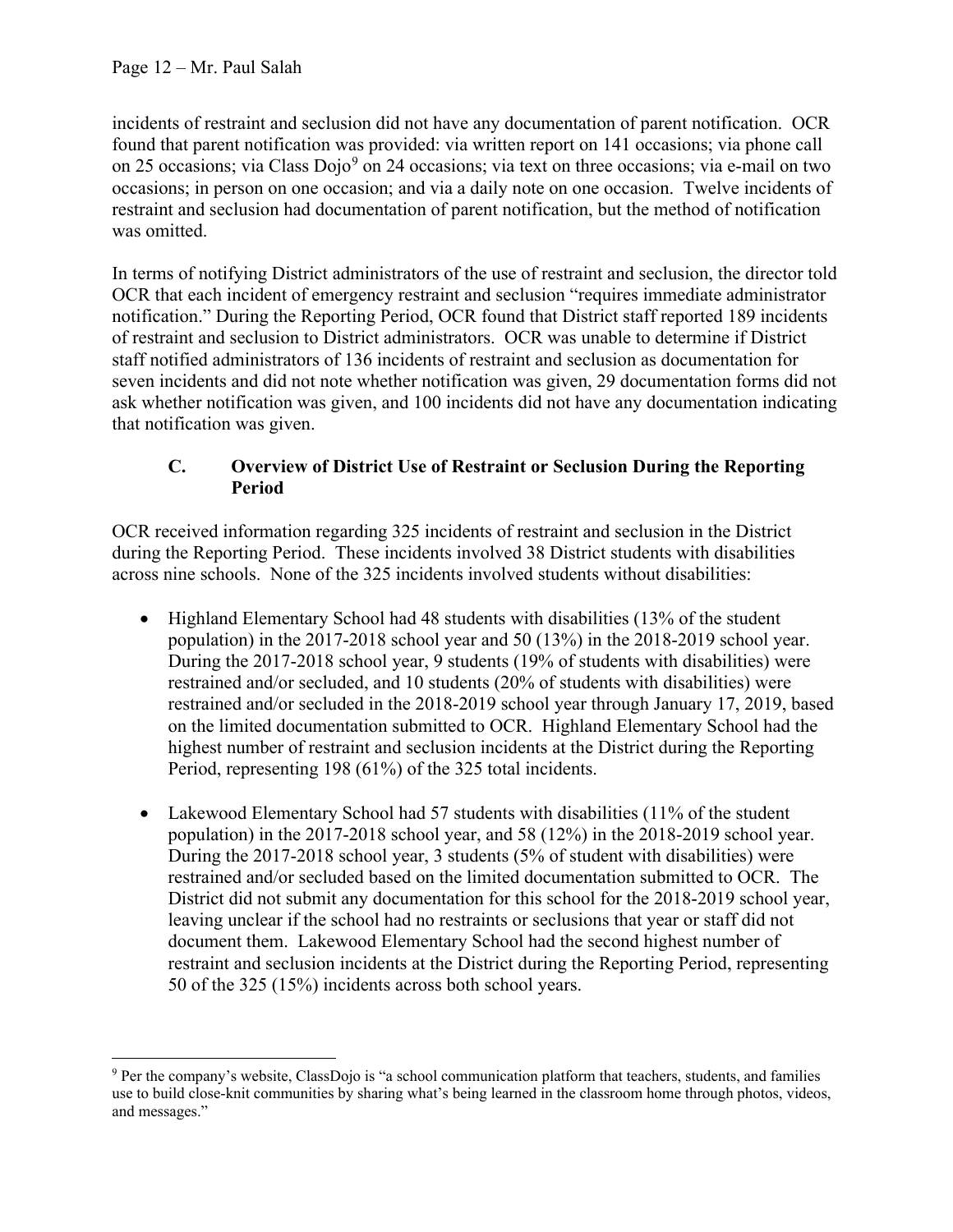incidents of restraint and seclusion did not have any documentation of parent notification. OCR found that parent notification was provided: via written report on 141 occasions; via phone call on 25 occasions; via Class Dojo<sup>[9](#page-11-0)</sup> on 24 occasions; via text on three occasions; via e-mail on two occasions; in person on one occasion; and via a daily note on one occasion. Twelve incidents of restraint and seclusion had documentation of parent notification, but the method of notification was omitted.

In terms of notifying District administrators of the use of restraint and seclusion, the director told OCR that each incident of emergency restraint and seclusion "requires immediate administrator notification." During the Reporting Period, OCR found that District staff reported 189 incidents of restraint and seclusion to District administrators. OCR was unable to determine if District staff notified administrators of 136 incidents of restraint and seclusion as documentation for seven incidents and did not note whether notification was given, 29 documentation forms did not ask whether notification was given, and 100 incidents did not have any documentation indicating that notification was given.

## **C. Overview of District Use of Restraint or Seclusion During the Reporting Period**

OCR received information regarding 325 incidents of restraint and seclusion in the District during the Reporting Period. These incidents involved 38 District students with disabilities across nine schools. None of the 325 incidents involved students without disabilities:

- Highland Elementary School had 48 students with disabilities (13% of the student population) in the 2017-2018 school year and 50 (13%) in the 2018-2019 school year. During the 2017-2018 school year, 9 students (19% of students with disabilities) were restrained and/or secluded, and 10 students (20% of students with disabilities) were restrained and/or secluded in the 2018-2019 school year through January 17, 2019, based on the limited documentation submitted to OCR. Highland Elementary School had the highest number of restraint and seclusion incidents at the District during the Reporting Period, representing 198 (61%) of the 325 total incidents.
- Lakewood Elementary School had 57 students with disabilities (11% of the student population) in the 2017-2018 school year, and 58 (12%) in the 2018-2019 school year. During the 2017-2018 school year, 3 students (5% of student with disabilities) were restrained and/or secluded based on the limited documentation submitted to OCR. The District did not submit any documentation for this school for the 2018-2019 school year, leaving unclear if the school had no restraints or seclusions that year or staff did not document them. Lakewood Elementary School had the second highest number of restraint and seclusion incidents at the District during the Reporting Period, representing 50 of the 325 (15%) incidents across both school years.

<span id="page-11-0"></span><sup>9</sup> Per the company's website, ClassDojo is "a school communication platform that teachers, students, and families use to build close-knit communities by sharing what's being learned in the classroom home through photos, videos, and messages."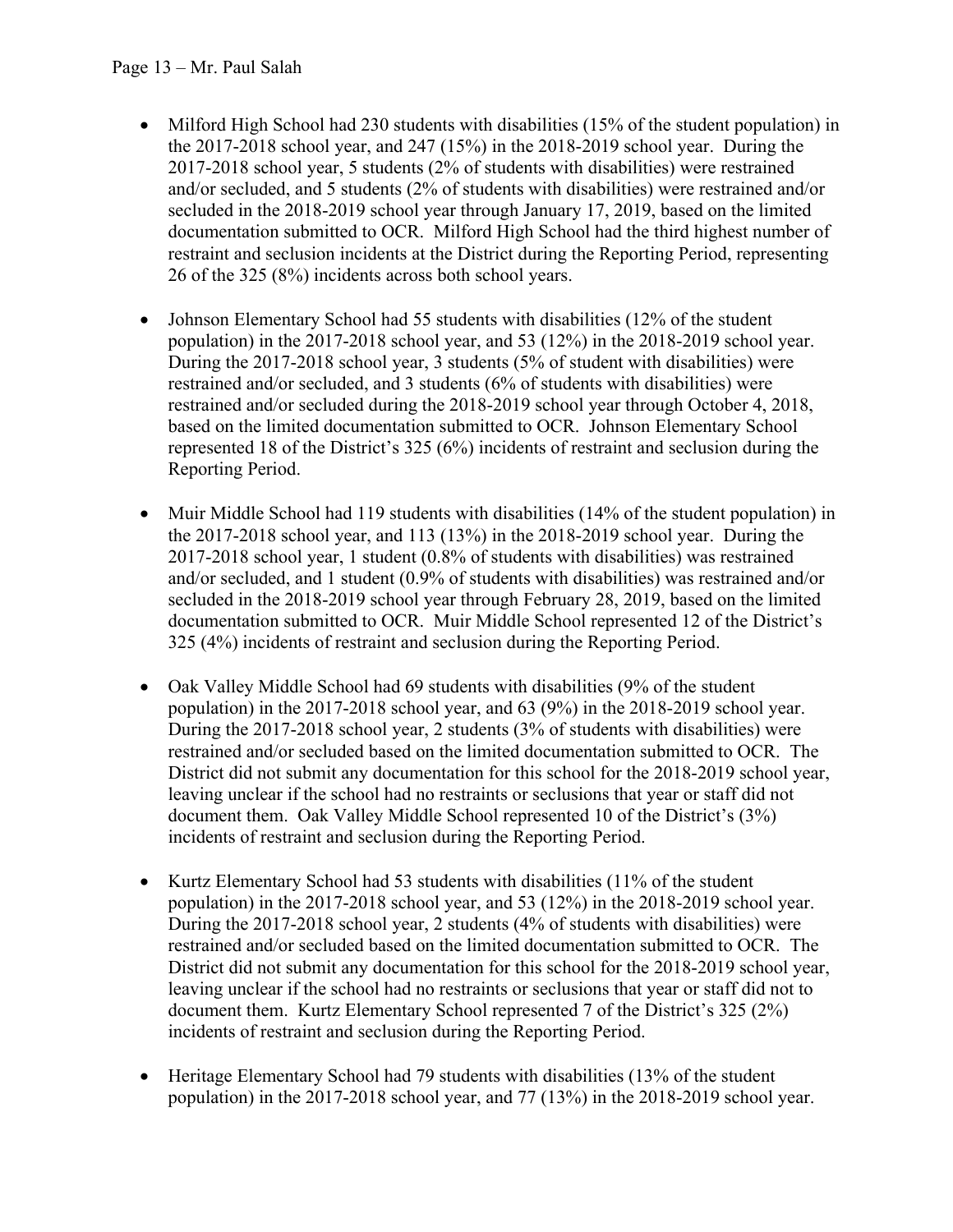- Milford High School had 230 students with disabilities (15% of the student population) in the 2017-2018 school year, and 247 (15%) in the 2018-2019 school year. During the 2017-2018 school year, 5 students (2% of students with disabilities) were restrained and/or secluded, and 5 students (2% of students with disabilities) were restrained and/or secluded in the 2018-2019 school year through January 17, 2019, based on the limited documentation submitted to OCR. Milford High School had the third highest number of restraint and seclusion incidents at the District during the Reporting Period, representing 26 of the 325 (8%) incidents across both school years.
- Johnson Elementary School had 55 students with disabilities (12% of the student population) in the 2017-2018 school year, and 53 (12%) in the 2018-2019 school year. During the 2017-2018 school year, 3 students (5% of student with disabilities) were restrained and/or secluded, and 3 students (6% of students with disabilities) were restrained and/or secluded during the 2018-2019 school year through October 4, 2018, based on the limited documentation submitted to OCR. Johnson Elementary School represented 18 of the District's 325 (6%) incidents of restraint and seclusion during the Reporting Period.
- Muir Middle School had 119 students with disabilities (14% of the student population) in the 2017-2018 school year, and 113 (13%) in the 2018-2019 school year. During the 2017-2018 school year, 1 student (0.8% of students with disabilities) was restrained and/or secluded, and 1 student (0.9% of students with disabilities) was restrained and/or secluded in the 2018-2019 school year through February 28, 2019, based on the limited documentation submitted to OCR. Muir Middle School represented 12 of the District's 325 (4%) incidents of restraint and seclusion during the Reporting Period.
- Oak Valley Middle School had 69 students with disabilities (9% of the student population) in the 2017-2018 school year, and 63 (9%) in the 2018-2019 school year. During the 2017-2018 school year, 2 students (3% of students with disabilities) were restrained and/or secluded based on the limited documentation submitted to OCR. The District did not submit any documentation for this school for the 2018-2019 school year, leaving unclear if the school had no restraints or seclusions that year or staff did not document them. Oak Valley Middle School represented 10 of the District's (3%) incidents of restraint and seclusion during the Reporting Period.
- Kurtz Elementary School had 53 students with disabilities (11% of the student population) in the 2017-2018 school year, and 53 (12%) in the 2018-2019 school year. During the 2017-2018 school year, 2 students (4% of students with disabilities) were restrained and/or secluded based on the limited documentation submitted to OCR. The District did not submit any documentation for this school for the 2018-2019 school year, leaving unclear if the school had no restraints or seclusions that year or staff did not to document them. Kurtz Elementary School represented 7 of the District's 325 (2%) incidents of restraint and seclusion during the Reporting Period.
- Heritage Elementary School had 79 students with disabilities (13% of the student population) in the 2017-2018 school year, and 77 (13%) in the 2018-2019 school year.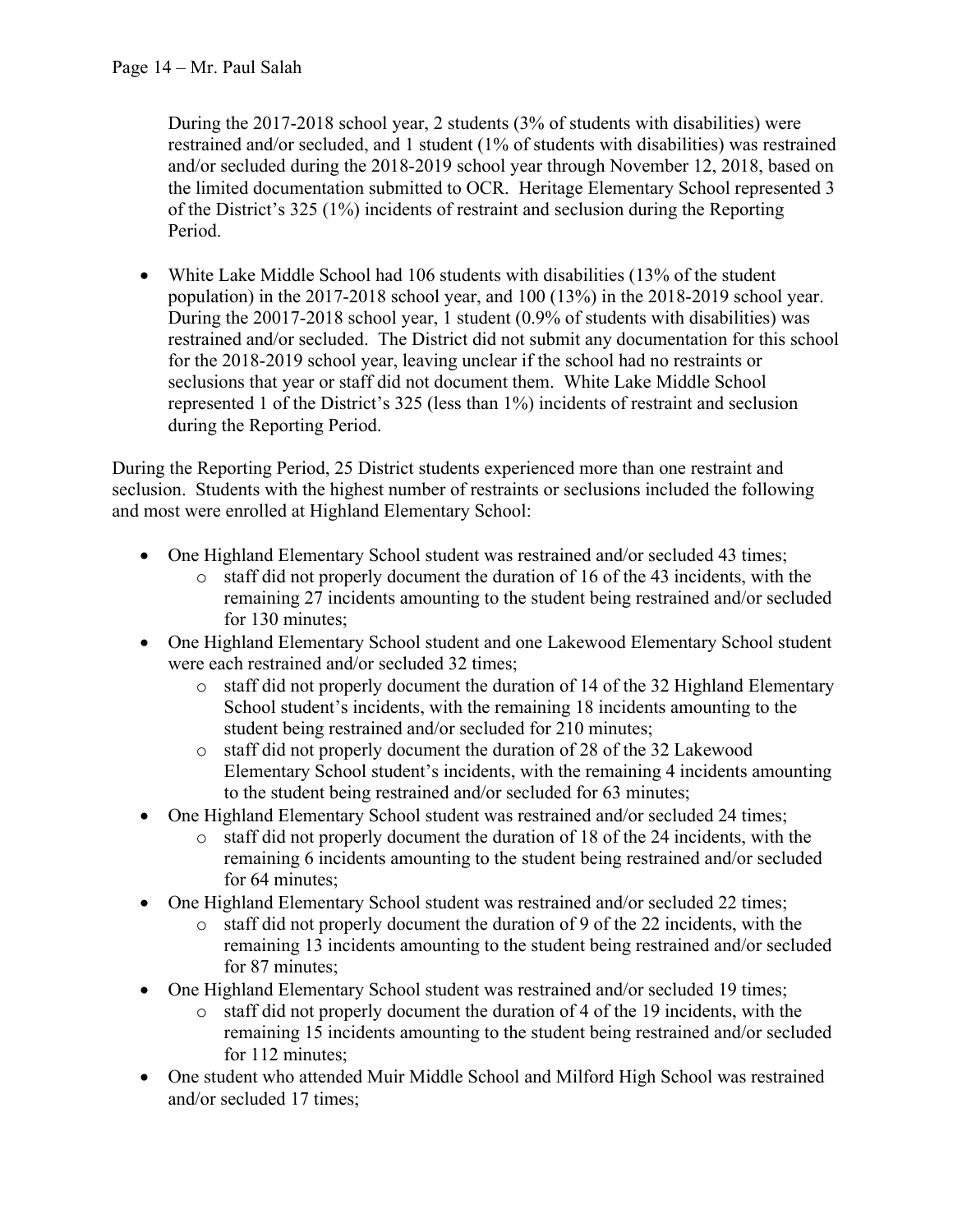During the 2017-2018 school year, 2 students (3% of students with disabilities) were restrained and/or secluded, and 1 student (1% of students with disabilities) was restrained and/or secluded during the 2018-2019 school year through November 12, 2018, based on the limited documentation submitted to OCR. Heritage Elementary School represented 3 of the District's 325 (1%) incidents of restraint and seclusion during the Reporting Period.

• White Lake Middle School had 106 students with disabilities (13% of the student population) in the 2017-2018 school year, and 100 (13%) in the 2018-2019 school year. During the 20017-2018 school year, 1 student (0.9% of students with disabilities) was restrained and/or secluded. The District did not submit any documentation for this school for the 2018-2019 school year, leaving unclear if the school had no restraints or seclusions that year or staff did not document them. White Lake Middle School represented 1 of the District's 325 (less than 1%) incidents of restraint and seclusion during the Reporting Period.

During the Reporting Period, 25 District students experienced more than one restraint and seclusion. Students with the highest number of restraints or seclusions included the following and most were enrolled at Highland Elementary School:

- One Highland Elementary School student was restrained and/or secluded 43 times;
	- o staff did not properly document the duration of 16 of the 43 incidents, with the remaining 27 incidents amounting to the student being restrained and/or secluded for 130 minutes;
- One Highland Elementary School student and one Lakewood Elementary School student were each restrained and/or secluded 32 times;
	- o staff did not properly document the duration of 14 of the 32 Highland Elementary School student's incidents, with the remaining 18 incidents amounting to the student being restrained and/or secluded for 210 minutes;
	- o staff did not properly document the duration of 28 of the 32 Lakewood Elementary School student's incidents, with the remaining 4 incidents amounting to the student being restrained and/or secluded for 63 minutes;
- One Highland Elementary School student was restrained and/or secluded 24 times;
	- o staff did not properly document the duration of 18 of the 24 incidents, with the remaining 6 incidents amounting to the student being restrained and/or secluded for 64 minutes;
- One Highland Elementary School student was restrained and/or secluded 22 times;
	- o staff did not properly document the duration of 9 of the 22 incidents, with the remaining 13 incidents amounting to the student being restrained and/or secluded for 87 minutes;
- One Highland Elementary School student was restrained and/or secluded 19 times;
	- o staff did not properly document the duration of 4 of the 19 incidents, with the remaining 15 incidents amounting to the student being restrained and/or secluded for 112 minutes;
- One student who attended Muir Middle School and Milford High School was restrained and/or secluded 17 times;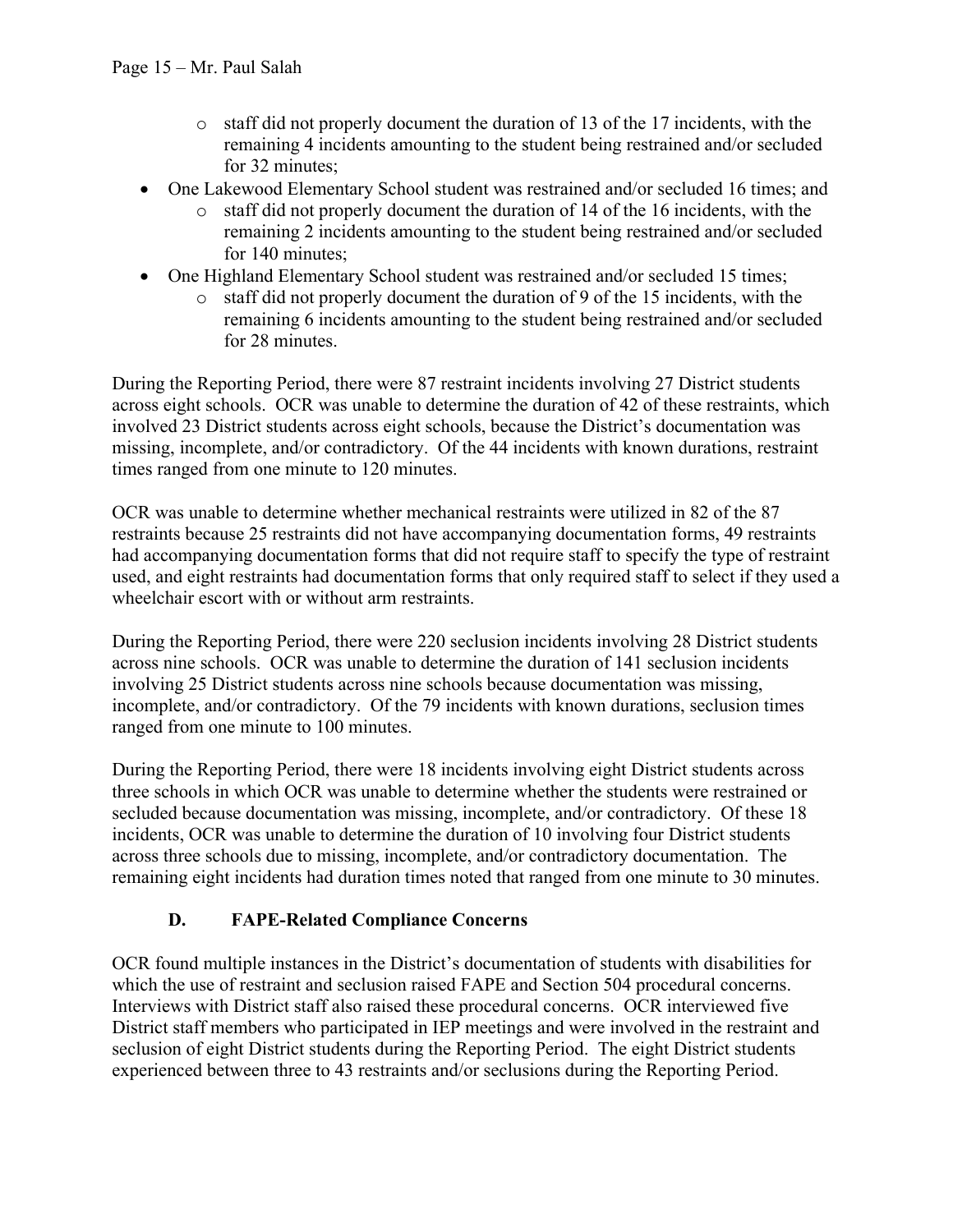- $\circ$  staff did not properly document the duration of 13 of the 17 incidents, with the remaining 4 incidents amounting to the student being restrained and/or secluded for 32 minutes;
- One Lakewood Elementary School student was restrained and/or secluded 16 times; and
	- o staff did not properly document the duration of 14 of the 16 incidents, with the remaining 2 incidents amounting to the student being restrained and/or secluded for 140 minutes;
- One Highland Elementary School student was restrained and/or secluded 15 times;
	- o staff did not properly document the duration of 9 of the 15 incidents, with the remaining 6 incidents amounting to the student being restrained and/or secluded for 28 minutes.

During the Reporting Period, there were 87 restraint incidents involving 27 District students across eight schools. OCR was unable to determine the duration of 42 of these restraints, which involved 23 District students across eight schools, because the District's documentation was missing, incomplete, and/or contradictory. Of the 44 incidents with known durations, restraint times ranged from one minute to 120 minutes.

OCR was unable to determine whether mechanical restraints were utilized in 82 of the 87 restraints because 25 restraints did not have accompanying documentation forms, 49 restraints had accompanying documentation forms that did not require staff to specify the type of restraint used, and eight restraints had documentation forms that only required staff to select if they used a wheelchair escort with or without arm restraints.

During the Reporting Period, there were 220 seclusion incidents involving 28 District students across nine schools. OCR was unable to determine the duration of 141 seclusion incidents involving 25 District students across nine schools because documentation was missing, incomplete, and/or contradictory. Of the 79 incidents with known durations, seclusion times ranged from one minute to 100 minutes.

During the Reporting Period, there were 18 incidents involving eight District students across three schools in which OCR was unable to determine whether the students were restrained or secluded because documentation was missing, incomplete, and/or contradictory. Of these 18 incidents, OCR was unable to determine the duration of 10 involving four District students across three schools due to missing, incomplete, and/or contradictory documentation. The remaining eight incidents had duration times noted that ranged from one minute to 30 minutes.

### **D. FAPE-Related Compliance Concerns**

OCR found multiple instances in the District's documentation of students with disabilities for which the use of restraint and seclusion raised FAPE and Section 504 procedural concerns. Interviews with District staff also raised these procedural concerns. OCR interviewed five District staff members who participated in IEP meetings and were involved in the restraint and seclusion of eight District students during the Reporting Period. The eight District students experienced between three to 43 restraints and/or seclusions during the Reporting Period.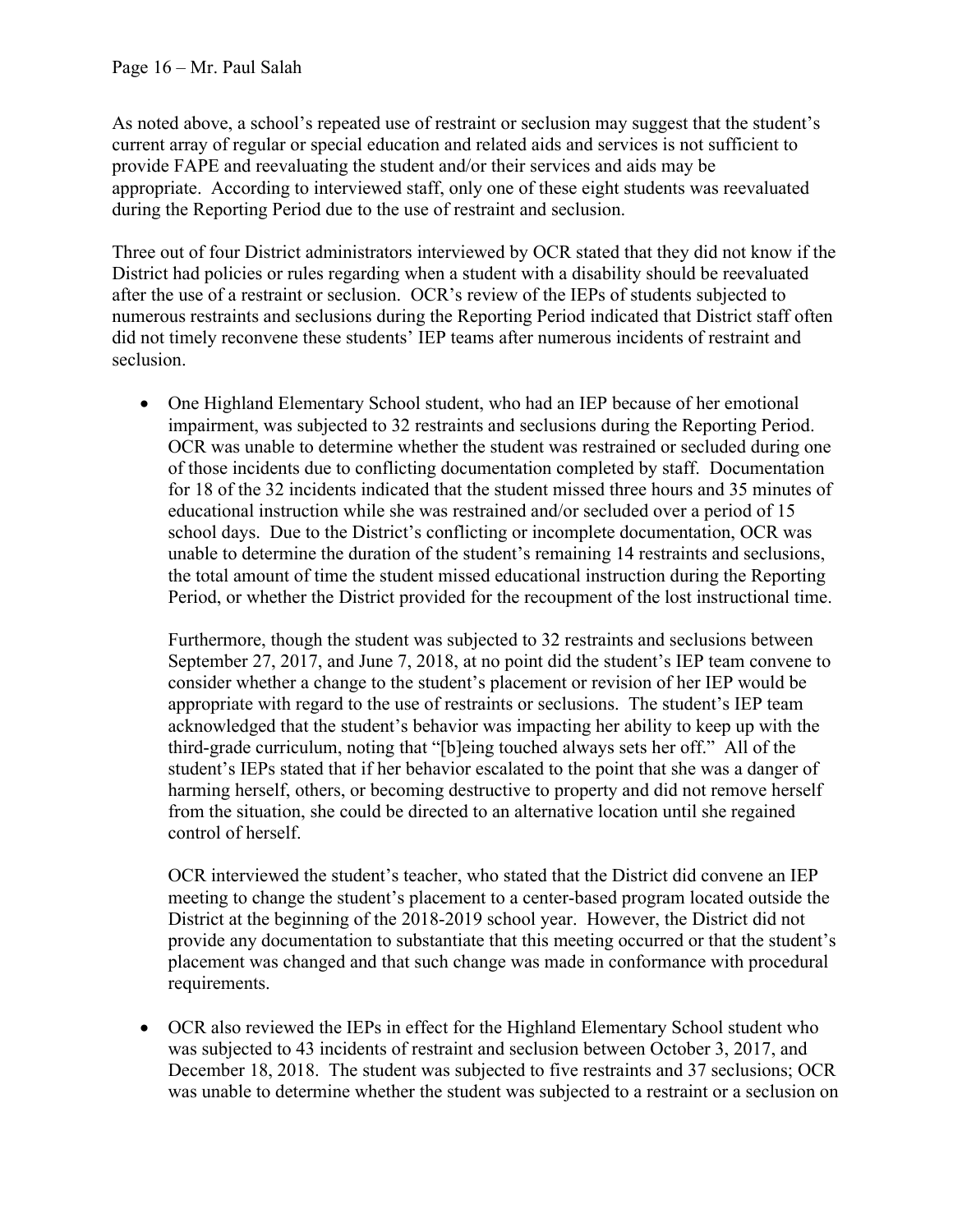As noted above, a school's repeated use of restraint or seclusion may suggest that the student's current array of regular or special education and related aids and services is not sufficient to provide FAPE and reevaluating the student and/or their services and aids may be appropriate. According to interviewed staff, only one of these eight students was reevaluated during the Reporting Period due to the use of restraint and seclusion.

Three out of four District administrators interviewed by OCR stated that they did not know if the District had policies or rules regarding when a student with a disability should be reevaluated after the use of a restraint or seclusion. OCR's review of the IEPs of students subjected to numerous restraints and seclusions during the Reporting Period indicated that District staff often did not timely reconvene these students' IEP teams after numerous incidents of restraint and seclusion.

• One Highland Elementary School student, who had an IEP because of her emotional impairment, was subjected to 32 restraints and seclusions during the Reporting Period. OCR was unable to determine whether the student was restrained or secluded during one of those incidents due to conflicting documentation completed by staff. Documentation for 18 of the 32 incidents indicated that the student missed three hours and 35 minutes of educational instruction while she was restrained and/or secluded over a period of 15 school days. Due to the District's conflicting or incomplete documentation, OCR was unable to determine the duration of the student's remaining 14 restraints and seclusions, the total amount of time the student missed educational instruction during the Reporting Period, or whether the District provided for the recoupment of the lost instructional time.

Furthermore, though the student was subjected to 32 restraints and seclusions between September 27, 2017, and June 7, 2018, at no point did the student's IEP team convene to consider whether a change to the student's placement or revision of her IEP would be appropriate with regard to the use of restraints or seclusions. The student's IEP team acknowledged that the student's behavior was impacting her ability to keep up with the third-grade curriculum, noting that "[b]eing touched always sets her off." All of the student's IEPs stated that if her behavior escalated to the point that she was a danger of harming herself, others, or becoming destructive to property and did not remove herself from the situation, she could be directed to an alternative location until she regained control of herself.

OCR interviewed the student's teacher, who stated that the District did convene an IEP meeting to change the student's placement to a center-based program located outside the District at the beginning of the 2018-2019 school year. However, the District did not provide any documentation to substantiate that this meeting occurred or that the student's placement was changed and that such change was made in conformance with procedural requirements.

• OCR also reviewed the IEPs in effect for the Highland Elementary School student who was subjected to 43 incidents of restraint and seclusion between October 3, 2017, and December 18, 2018. The student was subjected to five restraints and 37 seclusions; OCR was unable to determine whether the student was subjected to a restraint or a seclusion on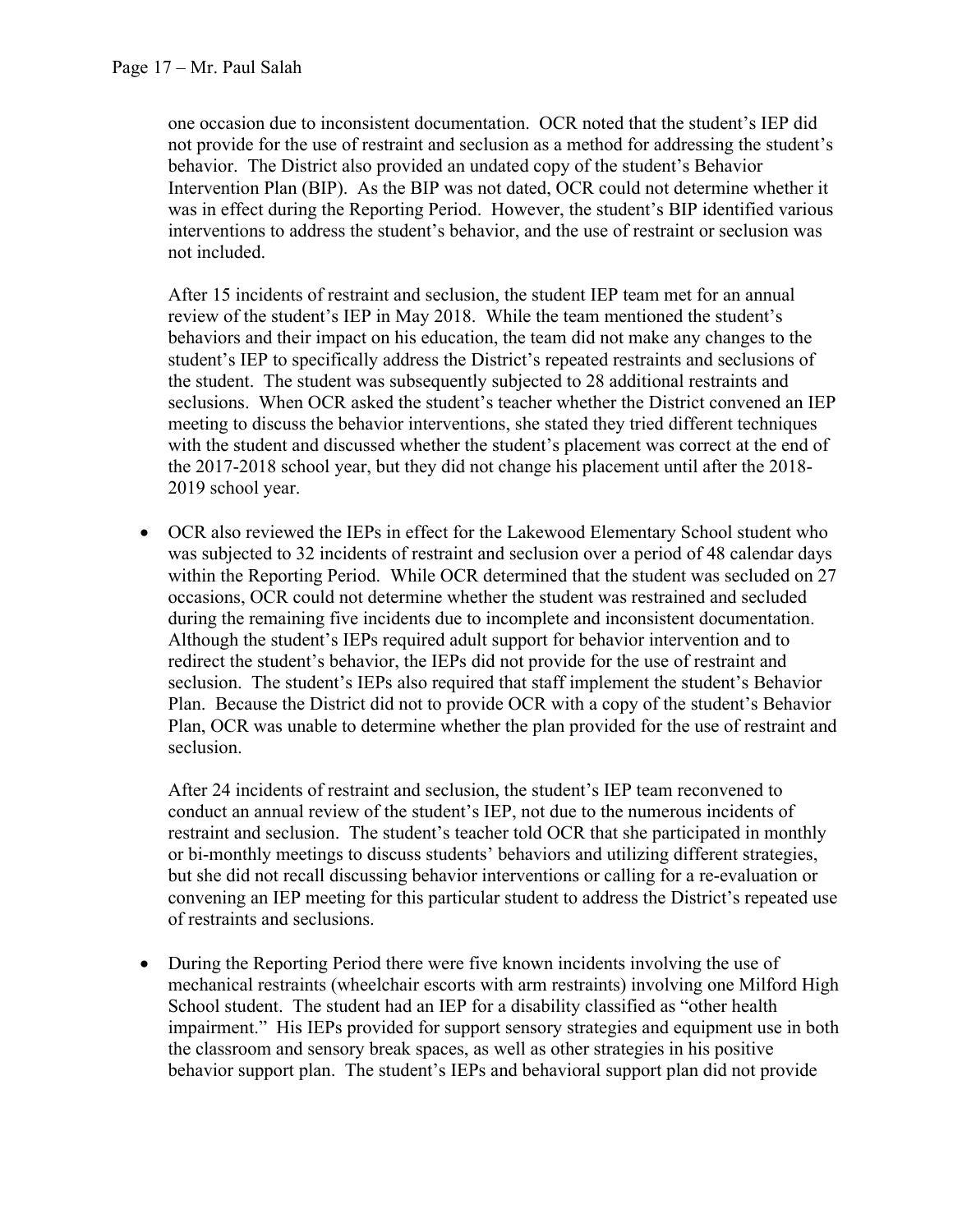one occasion due to inconsistent documentation. OCR noted that the student's IEP did not provide for the use of restraint and seclusion as a method for addressing the student's behavior. The District also provided an undated copy of the student's Behavior Intervention Plan (BIP). As the BIP was not dated, OCR could not determine whether it was in effect during the Reporting Period. However, the student's BIP identified various interventions to address the student's behavior, and the use of restraint or seclusion was not included.

After 15 incidents of restraint and seclusion, the student IEP team met for an annual review of the student's IEP in May 2018. While the team mentioned the student's behaviors and their impact on his education, the team did not make any changes to the student's IEP to specifically address the District's repeated restraints and seclusions of the student. The student was subsequently subjected to 28 additional restraints and seclusions. When OCR asked the student's teacher whether the District convened an IEP meeting to discuss the behavior interventions, she stated they tried different techniques with the student and discussed whether the student's placement was correct at the end of the 2017-2018 school year, but they did not change his placement until after the 2018- 2019 school year.

• OCR also reviewed the IEPs in effect for the Lakewood Elementary School student who was subjected to 32 incidents of restraint and seclusion over a period of 48 calendar days within the Reporting Period. While OCR determined that the student was secluded on 27 occasions, OCR could not determine whether the student was restrained and secluded during the remaining five incidents due to incomplete and inconsistent documentation. Although the student's IEPs required adult support for behavior intervention and to redirect the student's behavior, the IEPs did not provide for the use of restraint and seclusion. The student's IEPs also required that staff implement the student's Behavior Plan. Because the District did not to provide OCR with a copy of the student's Behavior Plan, OCR was unable to determine whether the plan provided for the use of restraint and seclusion.

After 24 incidents of restraint and seclusion, the student's IEP team reconvened to conduct an annual review of the student's IEP, not due to the numerous incidents of restraint and seclusion. The student's teacher told OCR that she participated in monthly or bi-monthly meetings to discuss students' behaviors and utilizing different strategies, but she did not recall discussing behavior interventions or calling for a re-evaluation or convening an IEP meeting for this particular student to address the District's repeated use of restraints and seclusions.

• During the Reporting Period there were five known incidents involving the use of mechanical restraints (wheelchair escorts with arm restraints) involving one Milford High School student. The student had an IEP for a disability classified as "other health impairment." His IEPs provided for support sensory strategies and equipment use in both the classroom and sensory break spaces, as well as other strategies in his positive behavior support plan. The student's IEPs and behavioral support plan did not provide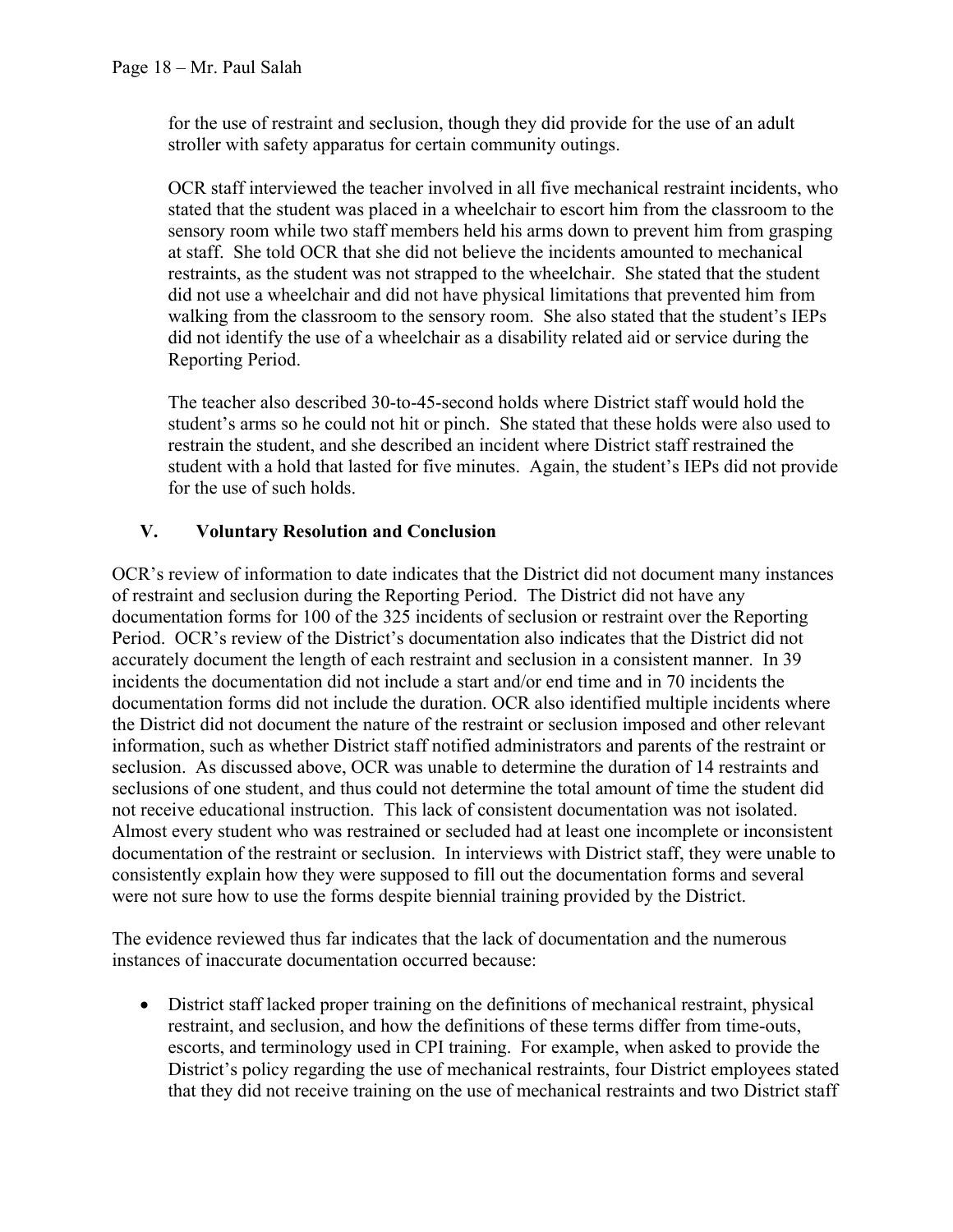for the use of restraint and seclusion, though they did provide for the use of an adult stroller with safety apparatus for certain community outings.

OCR staff interviewed the teacher involved in all five mechanical restraint incidents, who stated that the student was placed in a wheelchair to escort him from the classroom to the sensory room while two staff members held his arms down to prevent him from grasping at staff. She told OCR that she did not believe the incidents amounted to mechanical restraints, as the student was not strapped to the wheelchair. She stated that the student did not use a wheelchair and did not have physical limitations that prevented him from walking from the classroom to the sensory room. She also stated that the student's IEPs did not identify the use of a wheelchair as a disability related aid or service during the Reporting Period.

The teacher also described 30-to-45-second holds where District staff would hold the student's arms so he could not hit or pinch. She stated that these holds were also used to restrain the student, and she described an incident where District staff restrained the student with a hold that lasted for five minutes. Again, the student's IEPs did not provide for the use of such holds.

#### **V. Voluntary Resolution and Conclusion**

OCR's review of information to date indicates that the District did not document many instances of restraint and seclusion during the Reporting Period. The District did not have any documentation forms for 100 of the 325 incidents of seclusion or restraint over the Reporting Period. OCR's review of the District's documentation also indicates that the District did not accurately document the length of each restraint and seclusion in a consistent manner. In 39 incidents the documentation did not include a start and/or end time and in 70 incidents the documentation forms did not include the duration. OCR also identified multiple incidents where the District did not document the nature of the restraint or seclusion imposed and other relevant information, such as whether District staff notified administrators and parents of the restraint or seclusion. As discussed above, OCR was unable to determine the duration of 14 restraints and seclusions of one student, and thus could not determine the total amount of time the student did not receive educational instruction. This lack of consistent documentation was not isolated. Almost every student who was restrained or secluded had at least one incomplete or inconsistent documentation of the restraint or seclusion. In interviews with District staff, they were unable to consistently explain how they were supposed to fill out the documentation forms and several were not sure how to use the forms despite biennial training provided by the District.

The evidence reviewed thus far indicates that the lack of documentation and the numerous instances of inaccurate documentation occurred because:

• District staff lacked proper training on the definitions of mechanical restraint, physical restraint, and seclusion, and how the definitions of these terms differ from time-outs, escorts, and terminology used in CPI training. For example, when asked to provide the District's policy regarding the use of mechanical restraints, four District employees stated that they did not receive training on the use of mechanical restraints and two District staff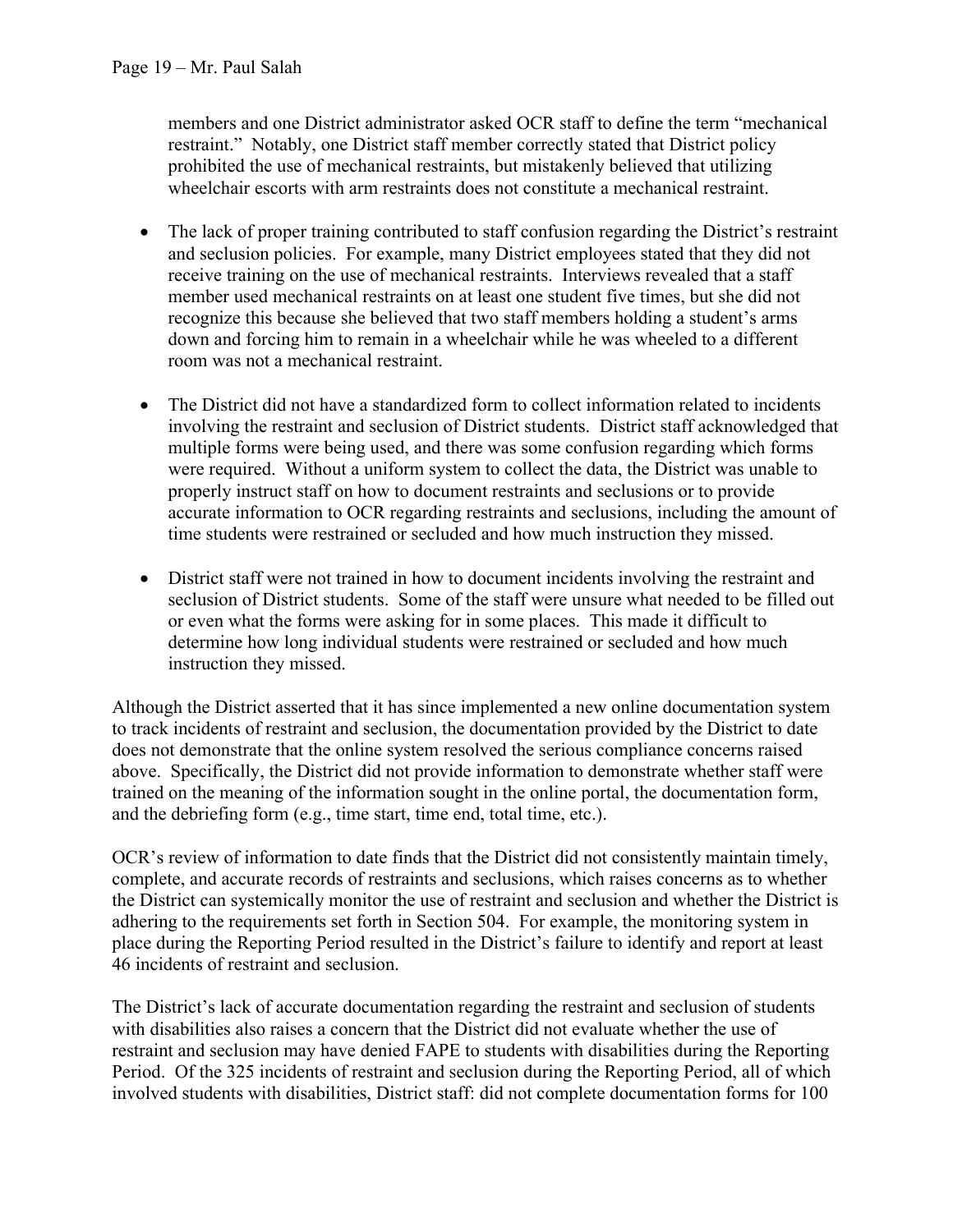members and one District administrator asked OCR staff to define the term "mechanical restraint." Notably, one District staff member correctly stated that District policy prohibited the use of mechanical restraints, but mistakenly believed that utilizing wheelchair escorts with arm restraints does not constitute a mechanical restraint.

- The lack of proper training contributed to staff confusion regarding the District's restraint and seclusion policies. For example, many District employees stated that they did not receive training on the use of mechanical restraints. Interviews revealed that a staff member used mechanical restraints on at least one student five times, but she did not recognize this because she believed that two staff members holding a student's arms down and forcing him to remain in a wheelchair while he was wheeled to a different room was not a mechanical restraint.
- The District did not have a standardized form to collect information related to incidents involving the restraint and seclusion of District students. District staff acknowledged that multiple forms were being used, and there was some confusion regarding which forms were required. Without a uniform system to collect the data, the District was unable to properly instruct staff on how to document restraints and seclusions or to provide accurate information to OCR regarding restraints and seclusions, including the amount of time students were restrained or secluded and how much instruction they missed.
- District staff were not trained in how to document incidents involving the restraint and seclusion of District students. Some of the staff were unsure what needed to be filled out or even what the forms were asking for in some places. This made it difficult to determine how long individual students were restrained or secluded and how much instruction they missed.

Although the District asserted that it has since implemented a new online documentation system to track incidents of restraint and seclusion, the documentation provided by the District to date does not demonstrate that the online system resolved the serious compliance concerns raised above. Specifically, the District did not provide information to demonstrate whether staff were trained on the meaning of the information sought in the online portal, the documentation form, and the debriefing form (e.g., time start, time end, total time, etc.).

OCR's review of information to date finds that the District did not consistently maintain timely, complete, and accurate records of restraints and seclusions, which raises concerns as to whether the District can systemically monitor the use of restraint and seclusion and whether the District is adhering to the requirements set forth in Section 504. For example, the monitoring system in place during the Reporting Period resulted in the District's failure to identify and report at least 46 incidents of restraint and seclusion.

The District's lack of accurate documentation regarding the restraint and seclusion of students with disabilities also raises a concern that the District did not evaluate whether the use of restraint and seclusion may have denied FAPE to students with disabilities during the Reporting Period. Of the 325 incidents of restraint and seclusion during the Reporting Period, all of which involved students with disabilities, District staff: did not complete documentation forms for 100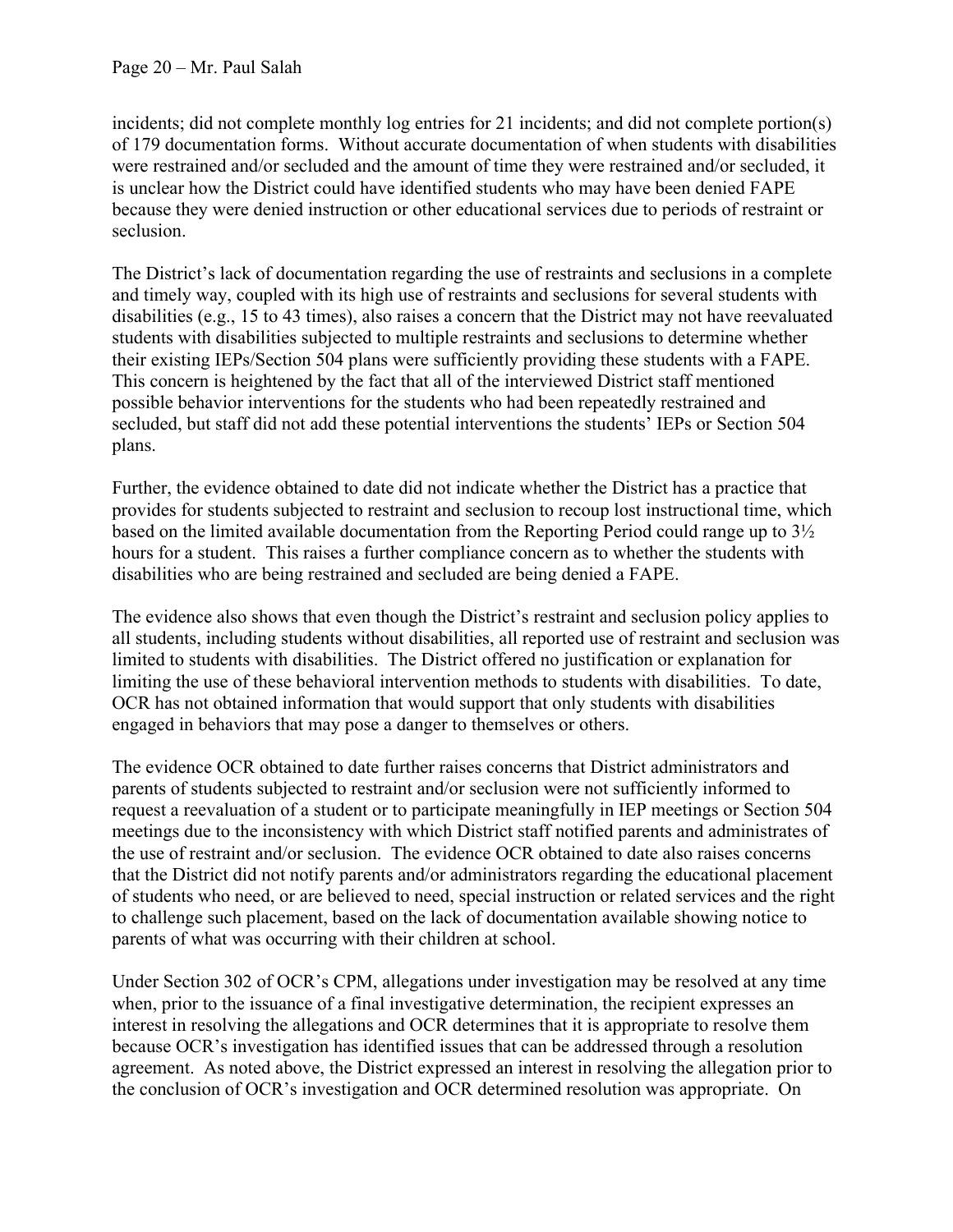incidents; did not complete monthly log entries for 21 incidents; and did not complete portion(s) of 179 documentation forms. Without accurate documentation of when students with disabilities were restrained and/or secluded and the amount of time they were restrained and/or secluded, it is unclear how the District could have identified students who may have been denied FAPE because they were denied instruction or other educational services due to periods of restraint or seclusion.

The District's lack of documentation regarding the use of restraints and seclusions in a complete and timely way, coupled with its high use of restraints and seclusions for several students with disabilities (e.g., 15 to 43 times), also raises a concern that the District may not have reevaluated students with disabilities subjected to multiple restraints and seclusions to determine whether their existing IEPs/Section 504 plans were sufficiently providing these students with a FAPE. This concern is heightened by the fact that all of the interviewed District staff mentioned possible behavior interventions for the students who had been repeatedly restrained and secluded, but staff did not add these potential interventions the students' IEPs or Section 504 plans.

Further, the evidence obtained to date did not indicate whether the District has a practice that provides for students subjected to restraint and seclusion to recoup lost instructional time, which based on the limited available documentation from the Reporting Period could range up to 3½ hours for a student. This raises a further compliance concern as to whether the students with disabilities who are being restrained and secluded are being denied a FAPE.

The evidence also shows that even though the District's restraint and seclusion policy applies to all students, including students without disabilities, all reported use of restraint and seclusion was limited to students with disabilities. The District offered no justification or explanation for limiting the use of these behavioral intervention methods to students with disabilities. To date, OCR has not obtained information that would support that only students with disabilities engaged in behaviors that may pose a danger to themselves or others.

The evidence OCR obtained to date further raises concerns that District administrators and parents of students subjected to restraint and/or seclusion were not sufficiently informed to request a reevaluation of a student or to participate meaningfully in IEP meetings or Section 504 meetings due to the inconsistency with which District staff notified parents and administrates of the use of restraint and/or seclusion. The evidence OCR obtained to date also raises concerns that the District did not notify parents and/or administrators regarding the educational placement of students who need, or are believed to need, special instruction or related services and the right to challenge such placement, based on the lack of documentation available showing notice to parents of what was occurring with their children at school.

Under Section 302 of OCR's CPM, allegations under investigation may be resolved at any time when, prior to the issuance of a final investigative determination, the recipient expresses an interest in resolving the allegations and OCR determines that it is appropriate to resolve them because OCR's investigation has identified issues that can be addressed through a resolution agreement. As noted above, the District expressed an interest in resolving the allegation prior to the conclusion of OCR's investigation and OCR determined resolution was appropriate. On